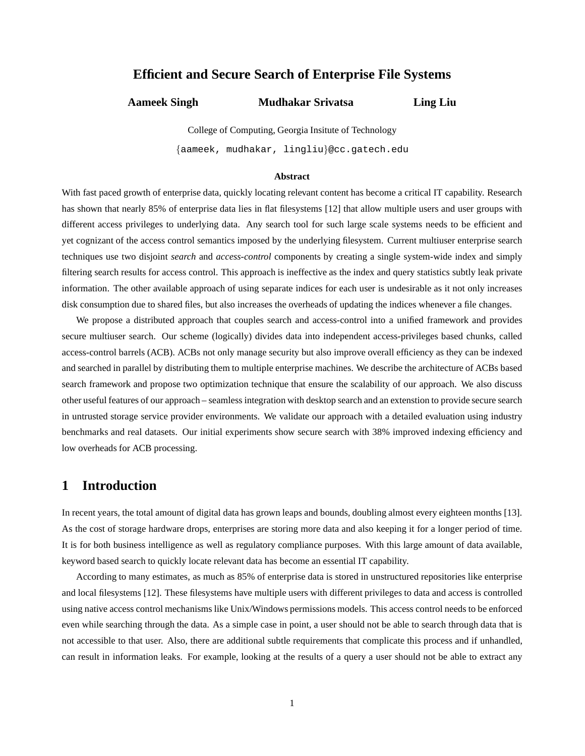# **Efficient and Secure Search of Enterprise File Systems**

## **Aameek Singh Mudhakar Srivatsa Ling Liu**

College of Computing, Georgia Insitute of Technology {aameek, mudhakar, lingliu}@cc.gatech.edu

#### **Abstract**

With fast paced growth of enterprise data, quickly locating relevant content has become a critical IT capability. Research has shown that nearly 85% of enterprise data lies in flat filesystems [12] that allow multiple users and user groups with different access privileges to underlying data. Any search tool for such large scale systems needs to be efficient and yet cognizant of the access control semantics imposed by the underlying filesystem. Current multiuser enterprise search techniques use two disjoint *search* and *access-control* components by creating a single system-wide index and simply filtering search results for access control. This approach is ineffective as the index and query statistics subtly leak private information. The other available approach of using separate indices for each user is undesirable as it not only increases disk consumption due to shared files, but also increases the overheads of updating the indices whenever a file changes.

We propose a distributed approach that couples search and access-control into a unified framework and provides secure multiuser search. Our scheme (logically) divides data into independent access-privileges based chunks, called access-control barrels (ACB). ACBs not only manage security but also improve overall efficiency as they can be indexed and searched in parallel by distributing them to multiple enterprise machines. We describe the architecture of ACBs based search framework and propose two optimization technique that ensure the scalability of our approach. We also discuss other useful features of our approach – seamless integration with desktop search and an extenstion to provide secure search in untrusted storage service provider environments. We validate our approach with a detailed evaluation using industry benchmarks and real datasets. Our initial experiments show secure search with 38% improved indexing efficiency and low overheads for ACB processing.

# **1 Introduction**

In recent years, the total amount of digital data has grown leaps and bounds, doubling almost every eighteen months [13]. As the cost of storage hardware drops, enterprises are storing more data and also keeping it for a longer period of time. It is for both business intelligence as well as regulatory compliance purposes. With this large amount of data available, keyword based search to quickly locate relevant data has become an essential IT capability.

According to many estimates, as much as 85% of enterprise data is stored in unstructured repositories like enterprise and local filesystems [12]. These filesystems have multiple users with different privileges to data and access is controlled using native access control mechanisms like Unix/Windows permissions models. This access control needs to be enforced even while searching through the data. As a simple case in point, a user should not be able to search through data that is not accessible to that user. Also, there are additional subtle requirements that complicate this process and if unhandled, can result in information leaks. For example, looking at the results of a query a user should not be able to extract any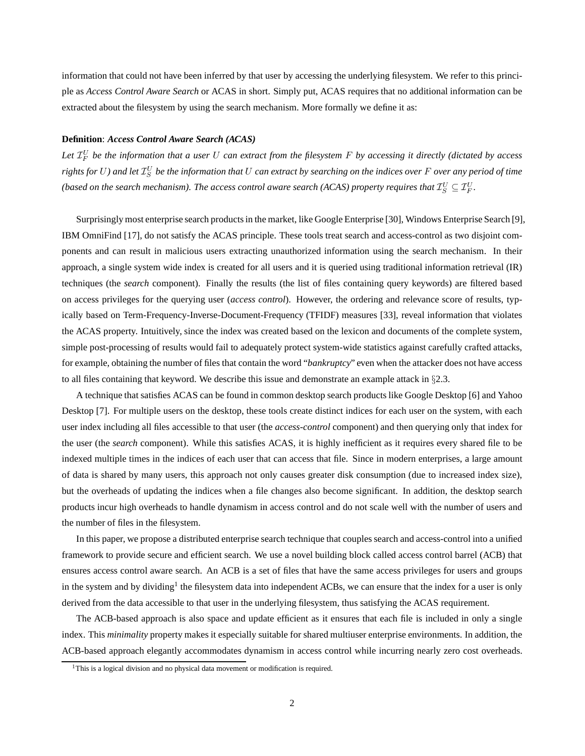information that could not have been inferred by that user by accessing the underlying filesystem. We refer to this principle as *Access Control Aware Search* or ACAS in short. Simply put, ACAS requires that no additional information can be extracted about the filesystem by using the search mechanism. More formally we define it as:

#### **Definition**: *Access Control Aware Search (ACAS)*

Let  $\mathcal{I}_F^U$  be the information that a user U can extract from the filesystem F by accessing it directly (dictated by access rights for  $U$ ) and let  $\mathcal{I}_S^U$  be the information that  $U$  can extract by searching on the indices over  $F$  over any period of time (based on the search mechanism). The access control aware search (ACAS) property requires that  $\mathcal{I}_S^U \subseteq \mathcal{I}_F^U$ .

Surprisingly most enterprise search products in the market, like Google Enterprise [30], Windows Enterprise Search [9], IBM OmniFind [17], do not satisfy the ACAS principle. These tools treat search and access-control as two disjoint components and can result in malicious users extracting unauthorized information using the search mechanism. In their approach, a single system wide index is created for all users and it is queried using traditional information retrieval (IR) techniques (the *search* component). Finally the results (the list of files containing query keywords) are filtered based on access privileges for the querying user (*access control*). However, the ordering and relevance score of results, typically based on Term-Frequency-Inverse-Document-Frequency (TFIDF) measures [33], reveal information that violates the ACAS property. Intuitively, since the index was created based on the lexicon and documents of the complete system, simple post-processing of results would fail to adequately protect system-wide statistics against carefully crafted attacks, for example, obtaining the number of files that contain the word "*bankruptcy*" even when the attacker does not have access to all files containing that keyword. We describe this issue and demonstrate an example attack in §2.3.

A technique that satisfies ACAS can be found in common desktop search products like Google Desktop [6] and Yahoo Desktop [7]. For multiple users on the desktop, these tools create distinct indices for each user on the system, with each user index including all files accessible to that user (the *access-control* component) and then querying only that index for the user (the *search* component). While this satisfies ACAS, it is highly inefficient as it requires every shared file to be indexed multiple times in the indices of each user that can access that file. Since in modern enterprises, a large amount of data is shared by many users, this approach not only causes greater disk consumption (due to increased index size), but the overheads of updating the indices when a file changes also become significant. In addition, the desktop search products incur high overheads to handle dynamism in access control and do not scale well with the number of users and the number of files in the filesystem.

In this paper, we propose a distributed enterprise search technique that couples search and access-control into a unified framework to provide secure and efficient search. We use a novel building block called access control barrel (ACB) that ensures access control aware search. An ACB is a set of files that have the same access privileges for users and groups in the system and by dividing<sup>1</sup> the filesystem data into independent ACBs, we can ensure that the index for a user is only derived from the data accessible to that user in the underlying filesystem, thus satisfying the ACAS requirement.

The ACB-based approach is also space and update efficient as it ensures that each file is included in only a single index. This *minimality* property makes it especially suitable for shared multiuser enterprise environments. In addition, the ACB-based approach elegantly accommodates dynamism in access control while incurring nearly zero cost overheads.

 $1$ This is a logical division and no physical data movement or modification is required.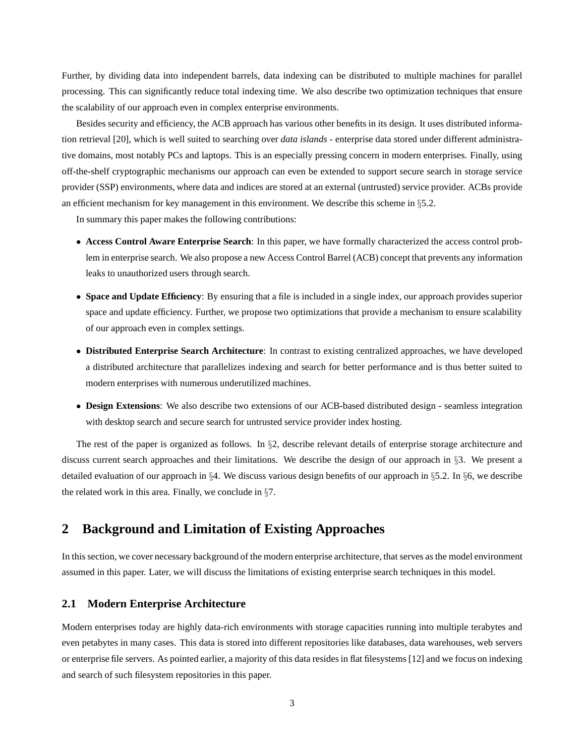Further, by dividing data into independent barrels, data indexing can be distributed to multiple machines for parallel processing. This can significantly reduce total indexing time. We also describe two optimization techniques that ensure the scalability of our approach even in complex enterprise environments.

Besides security and efficiency, the ACB approach has various other benefits in its design. It uses distributed information retrieval [20], which is well suited to searching over *data islands* - enterprise data stored under different administrative domains, most notably PCs and laptops. This is an especially pressing concern in modern enterprises. Finally, using off-the-shelf cryptographic mechanisms our approach can even be extended to support secure search in storage service provider (SSP) environments, where data and indices are stored at an external (untrusted) service provider. ACBs provide an efficient mechanism for key management in this environment. We describe this scheme in §5.2.

In summary this paper makes the following contributions:

- **Access Control Aware Enterprise Search**: In this paper, we have formally characterized the access control problem in enterprise search. We also propose a new Access Control Barrel (ACB) concept that prevents any information leaks to unauthorized users through search.
- **Space and Update Efficiency**: By ensuring that a file is included in a single index, our approach provides superior space and update efficiency. Further, we propose two optimizations that provide a mechanism to ensure scalability of our approach even in complex settings.
- **Distributed Enterprise Search Architecture**: In contrast to existing centralized approaches, we have developed a distributed architecture that parallelizes indexing and search for better performance and is thus better suited to modern enterprises with numerous underutilized machines.
- **Design Extensions**: We also describe two extensions of our ACB-based distributed design seamless integration with desktop search and secure search for untrusted service provider index hosting.

The rest of the paper is organized as follows. In §2, describe relevant details of enterprise storage architecture and discuss current search approaches and their limitations. We describe the design of our approach in §3. We present a detailed evaluation of our approach in  $\S 4$ . We discuss various design benefits of our approach in  $\S 5.2$ . In  $\S 6$ , we describe the related work in this area. Finally, we conclude in §7.

# **2 Background and Limitation of Existing Approaches**

In this section, we cover necessary background of the modern enterprise architecture, that serves as the model environment assumed in this paper. Later, we will discuss the limitations of existing enterprise search techniques in this model.

### **2.1 Modern Enterprise Architecture**

Modern enterprises today are highly data-rich environments with storage capacities running into multiple terabytes and even petabytes in many cases. This data is stored into different repositories like databases, data warehouses, web servers or enterprise file servers. As pointed earlier, a majority of this data resides in flat filesystems [12] and we focus on indexing and search of such filesystem repositories in this paper.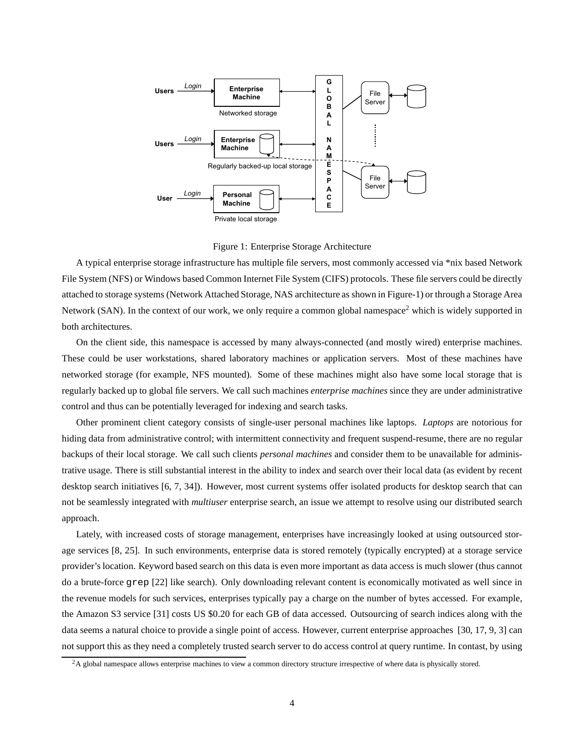

Figure 1: Enterprise Storage Architecture

A typical enterprise storage infrastructure has multiple file servers, most commonly accessed via \*nix based Network File System (NFS) or Windows based Common Internet File System (CIFS) protocols. These file servers could be directly attached to storage systems (Network Attached Storage, NAS architecture as shown in Figure-1) or through a Storage Area Network (SAN). In the context of our work, we only require a common global namespace<sup>2</sup> which is widely supported in both architectures.

On the client side, this namespace is accessed by many always-connected (and mostly wired) enterprise machines. These could be user workstations, shared laboratory machines or application servers. Most of these machines have networked storage (for example, NFS mounted). Some of these machines might also have some local storage that is regularly backed up to global file servers. We call such machines *enterprise machines* since they are under administrative control and thus can be potentially leveraged for indexing and search tasks.

Other prominent client category consists of single-user personal machines like laptops. *Laptops* are notorious for hiding data from administrative control; with intermittent connectivity and frequent suspend-resume, there are no regular backups of their local storage. We call such clients *personal machines* and consider them to be unavailable for administrative usage. There is still substantial interest in the ability to index and search over their local data (as evident by recent desktop search initiatives [6, 7, 34]). However, most current systems offer isolated products for desktop search that can not be seamlessly integrated with *multiuser* enterprise search, an issue we attempt to resolve using our distributed search approach.

Lately, with increased costs of storage management, enterprises have increasingly looked at using outsourced storage services [8, 25]. In such environments, enterprise data is stored remotely (typically encrypted) at a storage service provider's location. Keyword based search on this data is even more important as data access is much slower (thus cannot do a brute-force grep [22] like search). Only downloading relevant content is economically motivated as well since in the revenue models for such services, enterprises typically pay a charge on the number of bytes accessed. For example, the Amazon S3 service [31] costs US \$0.20 for each GB of data accessed. Outsourcing of search indices along with the data seems a natural choice to provide a single point of access. However, current enterprise approaches [30, 17, 9, 3] can not support this as they need a completely trusted search server to do access control at query runtime. In contast, by using

 ${}^{2}$ A global namespace allows enterprise machines to view a common directory structure irrespective of where data is physically stored.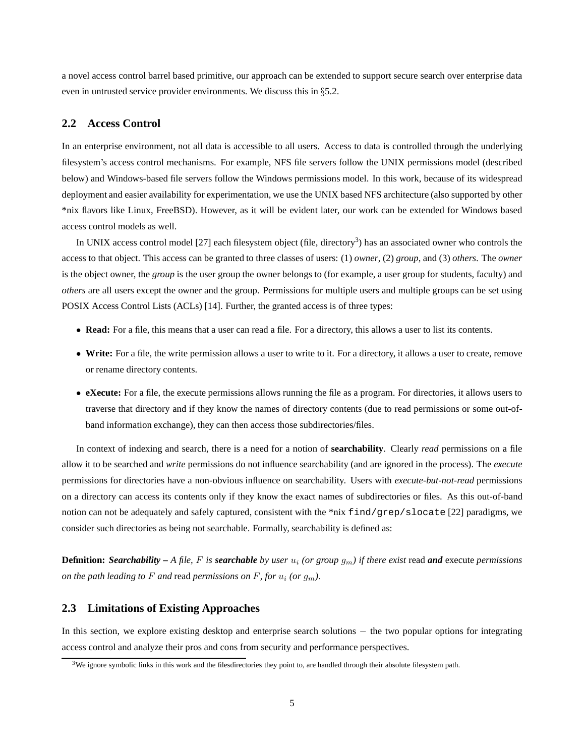a novel access control barrel based primitive, our approach can be extended to support secure search over enterprise data even in untrusted service provider environments. We discuss this in §5.2.

### **2.2 Access Control**

In an enterprise environment, not all data is accessible to all users. Access to data is controlled through the underlying filesystem's access control mechanisms. For example, NFS file servers follow the UNIX permissions model (described below) and Windows-based file servers follow the Windows permissions model. In this work, because of its widespread deployment and easier availability for experimentation, we use the UNIX based NFS architecture (also supported by other \*nix flavors like Linux, FreeBSD). However, as it will be evident later, our work can be extended for Windows based access control models as well.

In UNIX access control model [27] each filesystem object (file, directory<sup>3</sup>) has an associated owner who controls the access to that object. This access can be granted to three classes of users: (1) *owner*, (2) *group*, and (3) *others*. The *owner* is the object owner, the *group* is the user group the owner belongs to (for example, a user group for students, faculty) and *others* are all users except the owner and the group. Permissions for multiple users and multiple groups can be set using POSIX Access Control Lists (ACLs) [14]. Further, the granted access is of three types:

- **Read:** For a file, this means that a user can read a file. For a directory, this allows a user to list its contents.
- **Write:** For a file, the write permission allows a user to write to it. For a directory, it allows a user to create, remove or rename directory contents.
- **eXecute:** For a file, the execute permissions allows running the file as a program. For directories, it allows users to traverse that directory and if they know the names of directory contents (due to read permissions or some out-ofband information exchange), they can then access those subdirectories/files.

In context of indexing and search, there is a need for a notion of **searchability**. Clearly *read* permissions on a file allow it to be searched and *write* permissions do not influence searchability (and are ignored in the process). The *execute* permissions for directories have a non-obvious influence on searchability. Users with *execute-but-not-read* permissions on a directory can access its contents only if they know the exact names of subdirectories or files. As this out-of-band notion can not be adequately and safely captured, consistent with the \*nix find/grep/slocate [22] paradigms, we consider such directories as being not searchable. Formally, searchability is defined as:

**Definition:** *Searchability – A file,* F is **searchable** by user  $u_i$  (or group  $g_m$ ) if there exist read and execute *permissions on the path leading to*  $F$  *and* read *permissions on*  $F$ *, for*  $u_i$  *(or*  $g_m$ *).* 

## **2.3 Limitations of Existing Approaches**

In this section, we explore existing desktop and enterprise search solutions − the two popular options for integrating access control and analyze their pros and cons from security and performance perspectives.

 $3$ We ignore symbolic links in this work and the filesdirectories they point to, are handled through their absolute filesystem path.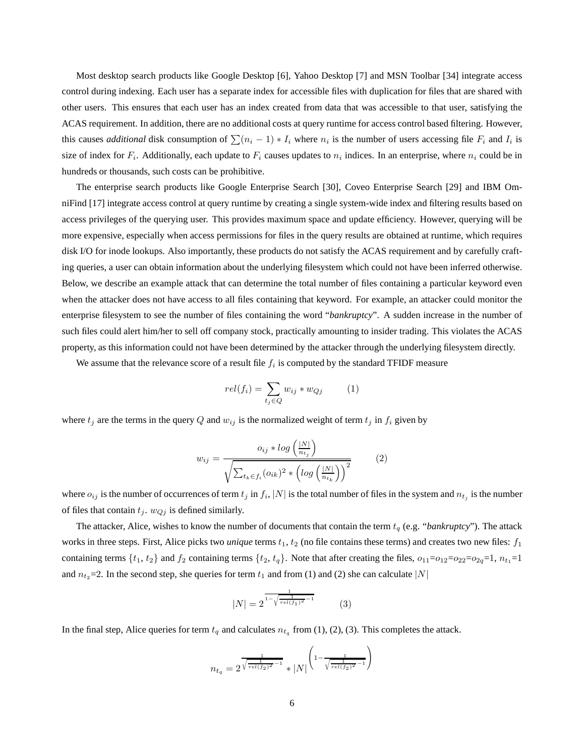Most desktop search products like Google Desktop [6], Yahoo Desktop [7] and MSN Toolbar [34] integrate access control during indexing. Each user has a separate index for accessible files with duplication for files that are shared with other users. This ensures that each user has an index created from data that was accessible to that user, satisfying the ACAS requirement. In addition, there are no additional costs at query runtime for access control based filtering. However, this causes *additional* disk consumption of  $\sum (n_i - 1) * I_i$  where  $n_i$  is the number of users accessing file  $F_i$  and  $I_i$  is size of index for  $F_i$ . Additionally, each update to  $F_i$  causes updates to  $n_i$  indices. In an enterprise, where  $n_i$  could be in hundreds or thousands, such costs can be prohibitive.

The enterprise search products like Google Enterprise Search [30], Coveo Enterprise Search [29] and IBM OmniFind [17] integrate access control at query runtime by creating a single system-wide index and filtering results based on access privileges of the querying user. This provides maximum space and update efficiency. However, querying will be more expensive, especially when access permissions for files in the query results are obtained at runtime, which requires disk I/O for inode lookups. Also importantly, these products do not satisfy the ACAS requirement and by carefully crafting queries, a user can obtain information about the underlying filesystem which could not have been inferred otherwise. Below, we describe an example attack that can determine the total number of files containing a particular keyword even when the attacker does not have access to all files containing that keyword. For example, an attacker could monitor the enterprise filesystem to see the number of files containing the word "*bankruptcy*". A sudden increase in the number of such files could alert him/her to sell off company stock, practically amounting to insider trading. This violates the ACAS property, as this information could not have been determined by the attacker through the underlying filesystem directly.

We assume that the relevance score of a result file  $f_i$  is computed by the standard TFIDF measure

$$
rel(f_i) = \sum_{t_j \in Q} w_{ij} * w_{Qj} \tag{1}
$$

where  $t_j$  are the terms in the query Q and  $w_{ij}$  is the normalized weight of term  $t_j$  in  $f_i$  given by

$$
w_{ij} = \frac{o_{ij} * log\left(\frac{|N|}{n_{t_j}}\right)}{\sqrt{\sum_{t_k \in f_i} (o_{ik})^2 * \left(log\left(\frac{|N|}{n_{t_k}}\right)\right)^2}}
$$
(2)

where  $o_{ij}$  is the number of occurrences of term  $t_j$  in  $f_i$ ,  $|N|$  is the total number of files in the system and  $n_{t_j}$  is the number of files that contain  $t_j$ .  $w_{Qj}$  is defined similarly.

The attacker, Alice, wishes to know the number of documents that contain the term  $t_q$  (e.g. "*bankruptcy*"). The attack works in three steps. First, Alice picks two *unique* terms  $t_1$ ,  $t_2$  (no file contains these terms) and creates two new files:  $f_1$ containing terms  $\{t_1, t_2\}$  and  $f_2$  containing terms  $\{t_2, t_q\}$ . Note that after creating the files,  $o_{11}=o_{12}=o_{22}=o_{2q}=1$ ,  $n_{t_1}=1$ and  $n_{t_2}$ =2. In the second step, she queries for term  $t_1$  and from (1) and (2) she can calculate |N|

$$
|N| = 2^{\frac{1}{1 - \sqrt{\frac{1}{rel(f_1)^2} - 1}}}
$$
 (3)

In the final step, Alice queries for term  $t_q$  and calculates  $n_{t_q}$  from (1), (2), (3). This completes the attack.

$$
n_{t_q} = 2^{\frac{1}{\sqrt{\frac{1}{rel(f_2)^2} - 1}}} \cdot |N|^{\left(1 - \frac{1}{\sqrt{\frac{1}{rel(f_2)^2} - 1}}\right)}
$$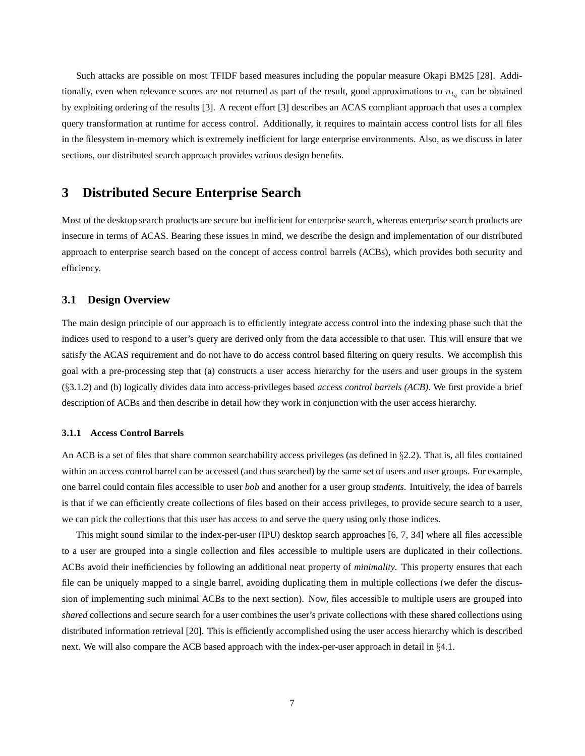Such attacks are possible on most TFIDF based measures including the popular measure Okapi BM25 [28]. Additionally, even when relevance scores are not returned as part of the result, good approximations to  $n_{t_q}$  can be obtained by exploiting ordering of the results [3]. A recent effort [3] describes an ACAS compliant approach that uses a complex query transformation at runtime for access control. Additionally, it requires to maintain access control lists for all files in the filesystem in-memory which is extremely inefficient for large enterprise environments. Also, as we discuss in later sections, our distributed search approach provides various design benefits.

# **3 Distributed Secure Enterprise Search**

Most of the desktop search products are secure but inefficient for enterprise search, whereas enterprise search products are insecure in terms of ACAS. Bearing these issues in mind, we describe the design and implementation of our distributed approach to enterprise search based on the concept of access control barrels (ACBs), which provides both security and efficiency.

### **3.1 Design Overview**

The main design principle of our approach is to efficiently integrate access control into the indexing phase such that the indices used to respond to a user's query are derived only from the data accessible to that user. This will ensure that we satisfy the ACAS requirement and do not have to do access control based filtering on query results. We accomplish this goal with a pre-processing step that (a) constructs a user access hierarchy for the users and user groups in the system (§3.1.2) and (b) logically divides data into access-privileges based *access control barrels (ACB)*. We first provide a brief description of ACBs and then describe in detail how they work in conjunction with the user access hierarchy.

#### **3.1.1 Access Control Barrels**

An ACB is a set of files that share common searchability access privileges (as defined in  $\S 2.2$ ). That is, all files contained within an access control barrel can be accessed (and thus searched) by the same set of users and user groups. For example, one barrel could contain files accessible to user *bob* and another for a user group *students*. Intuitively, the idea of barrels is that if we can efficiently create collections of files based on their access privileges, to provide secure search to a user, we can pick the collections that this user has access to and serve the query using only those indices.

This might sound similar to the index-per-user (IPU) desktop search approaches [6, 7, 34] where all files accessible to a user are grouped into a single collection and files accessible to multiple users are duplicated in their collections. ACBs avoid their inefficiencies by following an additional neat property of *minimality*. This property ensures that each file can be uniquely mapped to a single barrel, avoiding duplicating them in multiple collections (we defer the discussion of implementing such minimal ACBs to the next section). Now, files accessible to multiple users are grouped into *shared* collections and secure search for a user combines the user's private collections with these shared collections using distributed information retrieval [20]. This is efficiently accomplished using the user access hierarchy which is described next. We will also compare the ACB based approach with the index-per-user approach in detail in §4.1.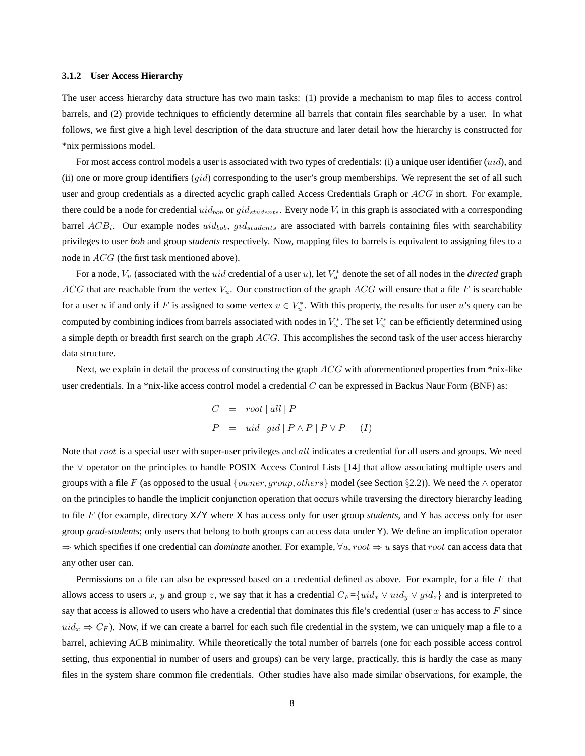#### **3.1.2 User Access Hierarchy**

The user access hierarchy data structure has two main tasks: (1) provide a mechanism to map files to access control barrels, and (2) provide techniques to efficiently determine all barrels that contain files searchable by a user. In what follows, we first give a high level description of the data structure and later detail how the hierarchy is constructed for \*nix permissions model.

For most access control models a user is associated with two types of credentials: (i) a unique user identifier (*uid*), and (ii) one or more group identifiers  $(gid)$  corresponding to the user's group memberships. We represent the set of all such user and group credentials as a directed acyclic graph called Access Credentials Graph or ACG in short. For example, there could be a node for credential  $uid_{bob}$  or  $gid_{students}$ . Every node  $V_i$  in this graph is associated with a corresponding barrel  $ACB_i$ . Our example nodes  $uid_{bob}$ ,  $gid_{students}$  are associated with barrels containing files with searchability privileges to user *bob* and group *students* respectively. Now, mapping files to barrels is equivalent to assigning files to a node in ACG (the first task mentioned above).

For a node,  $V_u$  (associated with the *uid* credential of a user *u*), let  $V_u^*$  denote the set of all nodes in the *directed* graph ACG that are reachable from the vertex  $V_u$ . Our construction of the graph ACG will ensure that a file F is searchable for a user u if and only if F is assigned to some vertex  $v \in V_u^*$ . With this property, the results for user u's query can be computed by combining indices from barrels associated with nodes in  $V_u^*$ . The set  $V_u^*$  can be efficiently determined using a simple depth or breadth first search on the graph  $ACG$ . This accomplishes the second task of the user access hierarchy data structure.

Next, we explain in detail the process of constructing the graph  $ACG$  with aforementioned properties from \*nix-like user credentials. In a \*nix-like access control model a credential  $C$  can be expressed in Backus Naur Form (BNF) as:

$$
C = root | all | P
$$
  

$$
P = uid | gid | P \wedge P | P \vee P
$$
 (I)

Note that root is a special user with super-user privileges and all indicates a credential for all users and groups. We need the ∨ operator on the principles to handle POSIX Access Control Lists [14] that allow associating multiple users and groups with a file F (as opposed to the usual {*owner, group, others*} model (see Section §2.2)). We need the ∧ operator on the principles to handle the implicit conjunction operation that occurs while traversing the directory hierarchy leading to file F (for example, directory  $X/Y$  where X has access only for user group *students*, and Y has access only for user group *grad-students*; only users that belong to both groups can access data under Y). We define an implication operator ⇒ which specifies if one credential can *dominate* another. For example, ∀u, root ⇒ u says that root can access data that any other user can.

Permissions on a file can also be expressed based on a credential defined as above. For example, for a file F that allows access to users x, y and group z, we say that it has a credential  $C_F = \{uid_x \vee iid_y \vee gid_z\}$  and is interpreted to say that access is allowed to users who have a credential that dominates this file's credential (user x has access to  $F$  since  $uid_x \Rightarrow C_F$ ). Now, if we can create a barrel for each such file credential in the system, we can uniquely map a file to a barrel, achieving ACB minimality. While theoretically the total number of barrels (one for each possible access control setting, thus exponential in number of users and groups) can be very large, practically, this is hardly the case as many files in the system share common file credentials. Other studies have also made similar observations, for example, the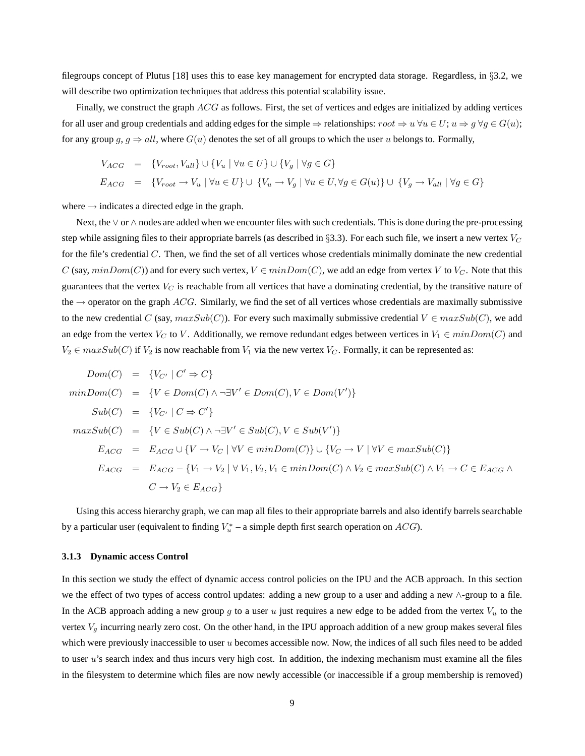filegroups concept of Plutus [18] uses this to ease key management for encrypted data storage. Regardless, in §3.2, we will describe two optimization techniques that address this potential scalability issue.

Finally, we construct the graph  $ACG$  as follows. First, the set of vertices and edges are initialized by adding vertices for all user and group credentials and adding edges for the simple  $\Rightarrow$  relationships:  $root \Rightarrow u \forall u \in U$ ;  $u \Rightarrow g \forall g \in G(u)$ ; for any group  $g, g \Rightarrow all$ , where  $G(u)$  denotes the set of all groups to which the user u belongs to. Formally,

$$
V_{ACG} = \{V_{root}, V_{all}\} \cup \{V_u \mid \forall u \in U\} \cup \{V_g \mid \forall g \in G\}
$$
  

$$
E_{ACG} = \{V_{root} \rightarrow V_u \mid \forall u \in U\} \cup \{V_u \rightarrow V_g \mid \forall u \in U, \forall g \in G(u)\} \cup \{V_g \rightarrow V_{all} \mid \forall g \in G\}
$$

where  $\rightarrow$  indicates a directed edge in the graph.

Next, the ∨ or ∧ nodes are added when we encounter files with such credentials. This is done during the pre-processing step while assigning files to their appropriate barrels (as described in §3.3). For each such file, we insert a new vertex  $V_C$ for the file's credential C. Then, we find the set of all vertices whose credentials minimally dominate the new credential C (say,  $minDom(C)$ ) and for every such vertex,  $V \in minDom(C)$ , we add an edge from vertex V to  $V_C$ . Note that this guarantees that the vertex  $V_C$  is reachable from all vertices that have a dominating credential, by the transitive nature of the  $\rightarrow$  operator on the graph ACG. Similarly, we find the set of all vertices whose credentials are maximally submissive to the new credential C (say,  $maxSub(C)$ ). For every such maximally submissive credential  $V \in maxSub(C)$ , we add an edge from the vertex  $V_C$  to V. Additionally, we remove redundant edges between vertices in  $V_1 \in minDom(C)$  and  $V_2 \in maxSub(C)$  if  $V_2$  is now reachable from  $V_1$  via the new vertex  $V_C$ . Formally, it can be represented as:

$$
Dom(C) = \{V_{C'} | C' \Rightarrow C\}
$$
  
\n
$$
minDom(C) = \{V \in Dom(C) \land \neg \exists V' \in Dom(C), V \in Dom(V')\}
$$
  
\n
$$
Sub(C) = \{V_{C'} | C \Rightarrow C'\}
$$
  
\n
$$
maxSub(C) = \{V \in Sub(C) \land \neg \exists V' \in Sub(C), V \in Sub(V')\}
$$
  
\n
$$
E_{ACG} = E_{ACG} \cup \{V \rightarrow V_C | \forall V \in minDom(C)\} \cup \{V_C \rightarrow V | \forall V \in maxSub(C)\}
$$
  
\n
$$
E_{ACG} = E_{ACG} - \{V_1 \rightarrow V_2 | \forall V_1, V_2, V_1 \in minDom(C) \land V_2 \in maxSub(C) \land V_1 \rightarrow C \in E_{ACG} \land C \rightarrow V_2 \in E_{ACG}\}
$$

Using this access hierarchy graph, we can map all files to their appropriate barrels and also identify barrels searchable by a particular user (equivalent to finding  $V_u^*$  – a simple depth first search operation on  $ACG$ ).

#### **3.1.3 Dynamic access Control**

In this section we study the effect of dynamic access control policies on the IPU and the ACB approach. In this section we the effect of two types of access control updates: adding a new group to a user and adding a new ∧-group to a file. In the ACB approach adding a new group g to a user u just requires a new edge to be added from the vertex  $V_u$  to the vertex  $V_q$  incurring nearly zero cost. On the other hand, in the IPU approach addition of a new group makes several files which were previously inaccessible to user  $u$  becomes accessible now. Now, the indices of all such files need to be added to user  $u$ 's search index and thus incurs very high cost. In addition, the indexing mechanism must examine all the files in the filesystem to determine which files are now newly accessible (or inaccessible if a group membership is removed)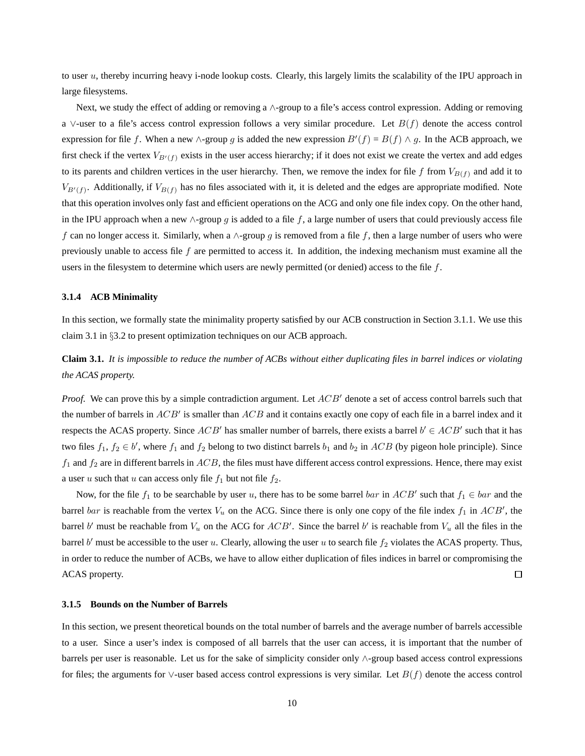to user  $u$ , thereby incurring heavy i-node lookup costs. Clearly, this largely limits the scalability of the IPU approach in large filesystems.

Next, we study the effect of adding or removing a ∧-group to a file's access control expression. Adding or removing a ∨-user to a file's access control expression follows a very similar procedure. Let  $B(f)$  denote the access control expression for file f. When a new  $\wedge$ -group g is added the new expression  $B'(f) = B(f) \wedge g$ . In the ACB approach, we first check if the vertex  $V_{B'(f)}$  exists in the user access hierarchy; if it does not exist we create the vertex and add edges to its parents and children vertices in the user hierarchy. Then, we remove the index for file f from  $V_{B(f)}$  and add it to  $V_{B'(f)}$ . Additionally, if  $V_{B(f)}$  has no files associated with it, it is deleted and the edges are appropriate modified. Note that this operation involves only fast and efficient operations on the ACG and only one file index copy. On the other hand, in the IPU approach when a new  $\wedge$ -group g is added to a file f, a large number of users that could previously access file f can no longer access it. Similarly, when a  $\wedge$ -group g is removed from a file f, then a large number of users who were previously unable to access file  $f$  are permitted to access it. In addition, the indexing mechanism must examine all the users in the filesystem to determine which users are newly permitted (or denied) access to the file  $f$ .

#### **3.1.4 ACB Minimality**

In this section, we formally state the minimality property satisfied by our ACB construction in Section 3.1.1. We use this claim 3.1 in §3.2 to present optimization techniques on our ACB approach.

**Claim 3.1.** *It is impossible to reduce the number of ACBs without either duplicating files in barrel indices or violating the ACAS property.*

*Proof.* We can prove this by a simple contradiction argument. Let  $ACB'$  denote a set of access control barrels such that the number of barrels in  $ACB'$  is smaller than  $ACB$  and it contains exactly one copy of each file in a barrel index and it respects the ACAS property. Since  $ACB'$  has smaller number of barrels, there exists a barrel  $b' \in ACB'$  such that it has two files  $f_1, f_2 \in b'$ , where  $f_1$  and  $f_2$  belong to two distinct barrels  $b_1$  and  $b_2$  in  $ACB$  (by pigeon hole principle). Since  $f_1$  and  $f_2$  are in different barrels in  $ACB$ , the files must have different access control expressions. Hence, there may exist a user u such that u can access only file  $f_1$  but not file  $f_2$ .

Now, for the file  $f_1$  to be searchable by user u, there has to be some barrel bar in  $ACB'$  such that  $f_1 \in bar$  and the barrel bar is reachable from the vertex  $V_u$  on the ACG. Since there is only one copy of the file index  $f_1$  in  $ACB'$ , the barrel b' must be reachable from  $V_u$  on the ACG for  $ACB'$ . Since the barrel b' is reachable from  $V_u$  all the files in the barrel b' must be accessible to the user u. Clearly, allowing the user u to search file  $f_2$  violates the ACAS property. Thus, in order to reduce the number of ACBs, we have to allow either duplication of files indices in barrel or compromising the ACAS property.  $\Box$ 

#### **3.1.5 Bounds on the Number of Barrels**

In this section, we present theoretical bounds on the total number of barrels and the average number of barrels accessible to a user. Since a user's index is composed of all barrels that the user can access, it is important that the number of barrels per user is reasonable. Let us for the sake of simplicity consider only ∧-group based access control expressions for files; the arguments for ∨-user based access control expressions is very similar. Let  $B(f)$  denote the access control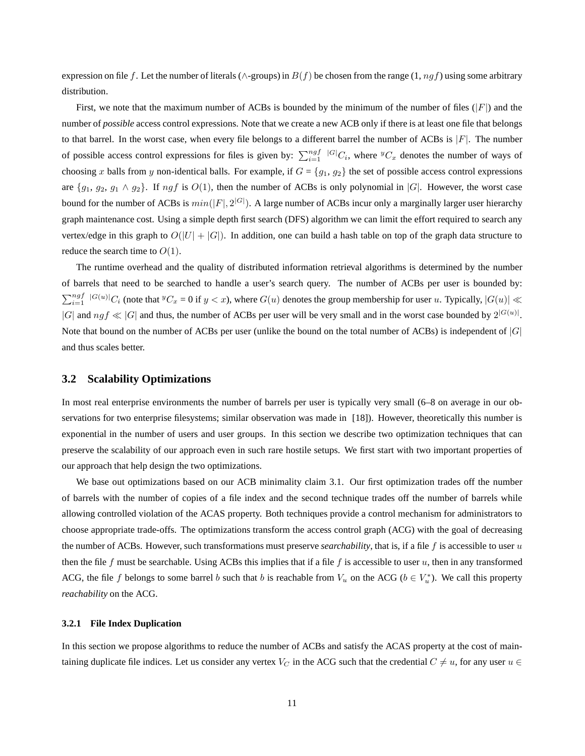expression on file f. Let the number of literals ( $\land$ -groups) in  $B(f)$  be chosen from the range  $(1, ngf)$  using some arbitrary distribution.

First, we note that the maximum number of ACBs is bounded by the minimum of the number of files  $(|F|)$  and the number of *possible* access control expressions. Note that we create a new ACB only if there is at least one file that belongs to that barrel. In the worst case, when every file belongs to a different barrel the number of ACBs is  $|F|$ . The number of possible access control expressions for files is given by:  $\sum_{i=1}^{ngf} |G|C_i$ , where  $^yC_x$  denotes the number of ways of choosing x balls from y non-identical balls. For example, if  $G = \{g_1, g_2\}$  the set of possible access control expressions are  $\{g_1, g_2, g_1 \wedge g_2\}$ . If  $ngf$  is  $O(1)$ , then the number of ACBs is only polynomial in  $|G|$ . However, the worst case bound for the number of ACBs is  $min(|F|, 2^{|G|})$ . A large number of ACBs incur only a marginally larger user hierarchy graph maintenance cost. Using a simple depth first search (DFS) algorithm we can limit the effort required to search any vertex/edge in this graph to  $O(|U| + |G|)$ . In addition, one can build a hash table on top of the graph data structure to reduce the search time to  $O(1)$ .

The runtime overhead and the quality of distributed information retrieval algorithms is determined by the number of barrels that need to be searched to handle a user's search query. The number of ACBs per user is bounded by:  $\sum_{i=1}^{ngf} |G(u)| C_i$  (note that  ${}^yC_x = 0$  if  $y < x$ ), where  $G(u)$  denotes the group membership for user u. Typically,  $|G(u)| \ll$ |G| and  $ngf \ll |G|$  and thus, the number of ACBs per user will be very small and in the worst case bounded by  $2^{|G(u)|}$ . Note that bound on the number of ACBs per user (unlike the bound on the total number of ACBs) is independent of  $|G|$ and thus scales better.

### **3.2 Scalability Optimizations**

In most real enterprise environments the number of barrels per user is typically very small (6–8 on average in our observations for two enterprise filesystems; similar observation was made in [18]). However, theoretically this number is exponential in the number of users and user groups. In this section we describe two optimization techniques that can preserve the scalability of our approach even in such rare hostile setups. We first start with two important properties of our approach that help design the two optimizations.

We base out optimizations based on our ACB minimality claim 3.1. Our first optimization trades off the number of barrels with the number of copies of a file index and the second technique trades off the number of barrels while allowing controlled violation of the ACAS property. Both techniques provide a control mechanism for administrators to choose appropriate trade-offs. The optimizations transform the access control graph (ACG) with the goal of decreasing the number of ACBs. However, such transformations must preserve *searchability*, that is, if a file  $f$  is accessible to user  $u$ then the file f must be searchable. Using ACBs this implies that if a file f is accessible to user  $u$ , then in any transformed ACG, the file f belongs to some barrel b such that b is reachable from  $V_u$  on the ACG ( $b \in V_u^*$ ). We call this property *reachability* on the ACG.

#### **3.2.1 File Index Duplication**

In this section we propose algorithms to reduce the number of ACBs and satisfy the ACAS property at the cost of maintaining duplicate file indices. Let us consider any vertex  $V_C$  in the ACG such that the credential  $C \neq u$ , for any user  $u \in$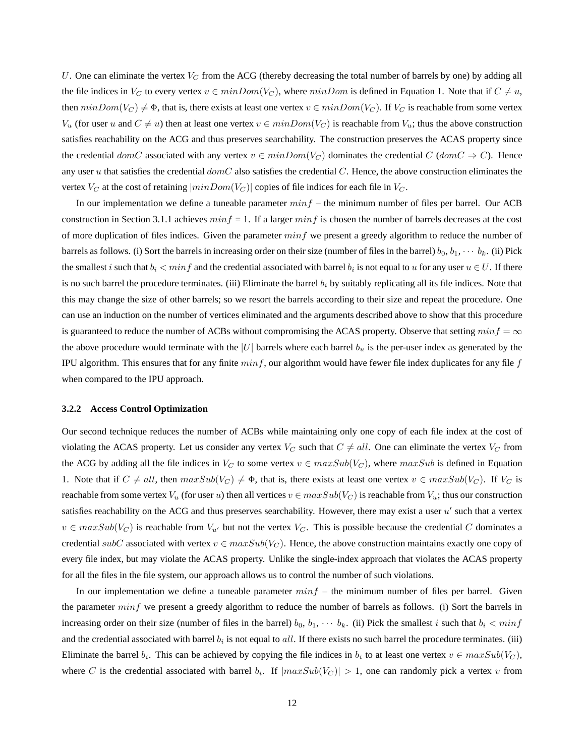U. One can eliminate the vertex  $V_C$  from the ACG (thereby decreasing the total number of barrels by one) by adding all the file indices in  $V_C$  to every vertex  $v \in minDom(V_C)$ , where  $minDom$  is defined in Equation 1. Note that if  $C \neq u$ , then  $minDom(V_C) \neq \Phi$ , that is, there exists at least one vertex  $v \in minDom(V_C)$ . If  $V_C$  is reachable from some vertex  $V_u$  (for user u and  $C \neq u$ ) then at least one vertex  $v \in minDom(V_C)$  is reachable from  $V_u$ ; thus the above construction satisfies reachability on the ACG and thus preserves searchability. The construction preserves the ACAS property since the credential domC associated with any vertex  $v \in minDom(V_C)$  dominates the credential  $C(domC \Rightarrow C)$ . Hence any user u that satisfies the credential  $domC$  also satisfies the credential C. Hence, the above construction eliminates the vertex  $V_C$  at the cost of retaining  $|minDom(V_C)|$  copies of file indices for each file in  $V_C$ .

In our implementation we define a tuneable parameter  $minf -$  the minimum number of files per barrel. Our ACB construction in Section 3.1.1 achieves  $minf = 1$ . If a larger  $minf$  is chosen the number of barrels decreases at the cost of more duplication of files indices. Given the parameter  $minf$  we present a greedy algorithm to reduce the number of barrels as follows. (i) Sort the barrels in increasing order on their size (number of files in the barrel)  $b_0, b_1, \cdots, b_k$ . (ii) Pick the smallest i such that  $b_i < minf$  and the credential associated with barrel  $b_i$  is not equal to u for any user  $u \in U$ . If there is no such barrel the procedure terminates. (iii) Eliminate the barrel  $b_i$  by suitably replicating all its file indices. Note that this may change the size of other barrels; so we resort the barrels according to their size and repeat the procedure. One can use an induction on the number of vertices eliminated and the arguments described above to show that this procedure is guaranteed to reduce the number of ACBs without compromising the ACAS property. Observe that setting  $min f = \infty$ the above procedure would terminate with the  $|U|$  barrels where each barrel  $b_u$  is the per-user index as generated by the IPU algorithm. This ensures that for any finite  $min f$ , our algorithm would have fewer file index duplicates for any file  $f$ when compared to the IPU approach.

#### **3.2.2 Access Control Optimization**

Our second technique reduces the number of ACBs while maintaining only one copy of each file index at the cost of violating the ACAS property. Let us consider any vertex  $V_C$  such that  $C \neq all$ . One can eliminate the vertex  $V_C$  from the ACG by adding all the file indices in  $V_C$  to some vertex  $v \in maxSub(V_C)$ , where  $maxSub$  is defined in Equation 1. Note that if  $C \neq all$ , then  $maxSub(V_C) \neq \Phi$ , that is, there exists at least one vertex  $v \in maxSub(V_C)$ . If  $V_C$  is reachable from some vertex  $V_u$  (for user u) then all vertices  $v \in maxSub(V_C)$  is reachable from  $V_u$ ; thus our construction satisfies reachability on the ACG and thus preserves searchability. However, there may exist a user  $u'$  such that a vertex  $v \in maxSub(V_C)$  is reachable from  $V_{u'}$  but not the vertex  $V_C$ . This is possible because the credential C dominates a credential subC associated with vertex  $v \in maxSub(V_C)$ . Hence, the above construction maintains exactly one copy of every file index, but may violate the ACAS property. Unlike the single-index approach that violates the ACAS property for all the files in the file system, our approach allows us to control the number of such violations.

In our implementation we define a tuneable parameter  $minf -$  the minimum number of files per barrel. Given the parameter  $minf$  we present a greedy algorithm to reduce the number of barrels as follows. (i) Sort the barrels in increasing order on their size (number of files in the barrel)  $b_0, b_1, \cdots, b_k$ . (ii) Pick the smallest i such that  $b_i < minf$ and the credential associated with barrel  $b_i$  is not equal to all. If there exists no such barrel the procedure terminates. (iii) Eliminate the barrel  $b_i$ . This can be achieved by copying the file indices in  $b_i$  to at least one vertex  $v \in maxSub(V_C)$ , where C is the credential associated with barrel  $b_i$ . If  $|maxSub(V_C)| > 1$ , one can randomly pick a vertex v from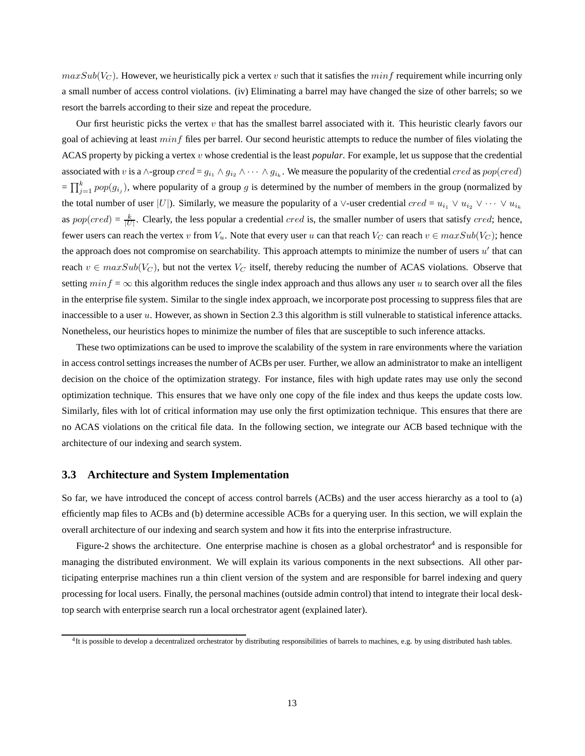$maxSub(V<sub>C</sub>)$ . However, we heuristically pick a vertex v such that it satisfies the minf requirement while incurring only a small number of access control violations. (iv) Eliminating a barrel may have changed the size of other barrels; so we resort the barrels according to their size and repeat the procedure.

Our first heuristic picks the vertex  $v$  that has the smallest barrel associated with it. This heuristic clearly favors our goal of achieving at least  $minf$  files per barrel. Our second heuristic attempts to reduce the number of files violating the ACAS property by picking a vertex v whose credential is the least *popular*. For example, let us suppose that the credential associated with v is a  $\wedge$ -group  $cred = g_{i_1} \wedge g_{i_2} \wedge \cdots \wedge g_{i_k}$ . We measure the popularity of the credential  $cred$  as  $pop(cred)$  $=\prod_{j=1}^k pop(g_{i_j})$ , where popularity of a group g is determined by the number of members in the group (normalized by the total number of user |U|). Similarly, we measure the popularity of a  $\vee$ -user credential  $cred = u_{i_1} \vee u_{i_2} \vee \cdots \vee u_{i_k}$ as  $pop(cred) = \frac{k}{|U|}$ . Clearly, the less popular a credential cred is, the smaller number of users that satisfy cred; hence, fewer users can reach the vertex v from  $V_u$ . Note that every user u can that reach  $V_C$  can reach  $v \in maxSub(V_C)$ ; hence the approach does not compromise on searchability. This approach attempts to minimize the number of users  $u'$  that can reach  $v \in maxSub(V_C)$ , but not the vertex  $V_C$  itself, thereby reducing the number of ACAS violations. Observe that setting  $minf = \infty$  this algorithm reduces the single index approach and thus allows any user u to search over all the files in the enterprise file system. Similar to the single index approach, we incorporate post processing to suppress files that are inaccessible to a user  $u$ . However, as shown in Section 2.3 this algorithm is still vulnerable to statistical inference attacks. Nonetheless, our heuristics hopes to minimize the number of files that are susceptible to such inference attacks.

These two optimizations can be used to improve the scalability of the system in rare environments where the variation in access control settings increases the number of ACBs per user. Further, we allow an administrator to make an intelligent decision on the choice of the optimization strategy. For instance, files with high update rates may use only the second optimization technique. This ensures that we have only one copy of the file index and thus keeps the update costs low. Similarly, files with lot of critical information may use only the first optimization technique. This ensures that there are no ACAS violations on the critical file data. In the following section, we integrate our ACB based technique with the architecture of our indexing and search system.

### **3.3 Architecture and System Implementation**

So far, we have introduced the concept of access control barrels (ACBs) and the user access hierarchy as a tool to (a) efficiently map files to ACBs and (b) determine accessible ACBs for a querying user. In this section, we will explain the overall architecture of our indexing and search system and how it fits into the enterprise infrastructure.

Figure-2 shows the architecture. One enterprise machine is chosen as a global orchestrator<sup>4</sup> and is responsible for managing the distributed environment. We will explain its various components in the next subsections. All other participating enterprise machines run a thin client version of the system and are responsible for barrel indexing and query processing for local users. Finally, the personal machines (outside admin control) that intend to integrate their local desktop search with enterprise search run a local orchestrator agent (explained later).

<sup>&</sup>lt;sup>4</sup>It is possible to develop a decentralized orchestrator by distributing responsibilities of barrels to machines, e.g. by using distributed hash tables.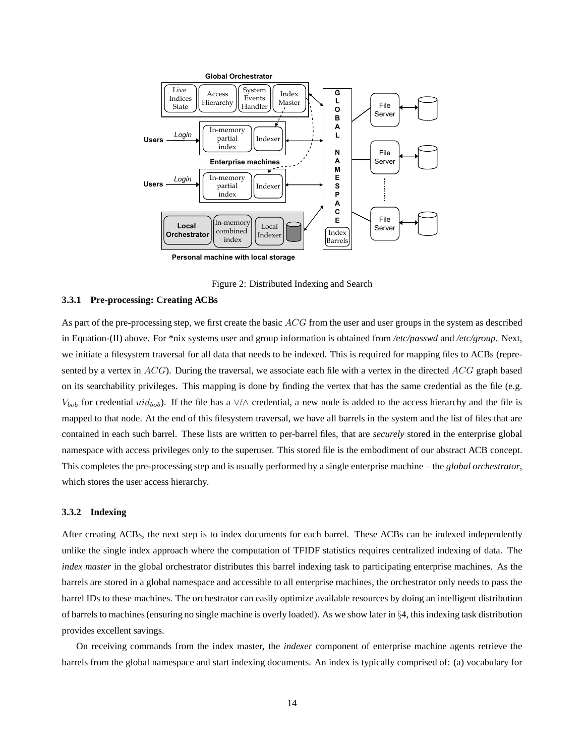

Figure 2: Distributed Indexing and Search

#### **3.3.1 Pre-processing: Creating ACBs**

As part of the pre-processing step, we first create the basic  $ACG$  from the user and user groups in the system as described in Equation-(II) above. For \*nix systems user and group information is obtained from */etc/passwd* and */etc/group*. Next, we initiate a filesystem traversal for all data that needs to be indexed. This is required for mapping files to ACBs (represented by a vertex in  $ACG$ ). During the traversal, we associate each file with a vertex in the directed  $ACG$  graph based on its searchability privileges. This mapping is done by finding the vertex that has the same credential as the file (e.g.  $V_{bob}$  for credential  $uid_{bob}$ ). If the file has a  $\vee/\wedge$  credential, a new node is added to the access hierarchy and the file is mapped to that node. At the end of this filesystem traversal, we have all barrels in the system and the list of files that are contained in each such barrel. These lists are written to per-barrel files, that are *securely* stored in the enterprise global namespace with access privileges only to the superuser. This stored file is the embodiment of our abstract ACB concept. This completes the pre-processing step and is usually performed by a single enterprise machine – the *global orchestrator*, which stores the user access hierarchy.

#### **3.3.2 Indexing**

After creating ACBs, the next step is to index documents for each barrel. These ACBs can be indexed independently unlike the single index approach where the computation of TFIDF statistics requires centralized indexing of data. The *index master* in the global orchestrator distributes this barrel indexing task to participating enterprise machines. As the barrels are stored in a global namespace and accessible to all enterprise machines, the orchestrator only needs to pass the barrel IDs to these machines. The orchestrator can easily optimize available resources by doing an intelligent distribution of barrels to machines (ensuring no single machine is overly loaded). As we show later in §4, this indexing task distribution provides excellent savings.

On receiving commands from the index master, the *indexer* component of enterprise machine agents retrieve the barrels from the global namespace and start indexing documents. An index is typically comprised of: (a) vocabulary for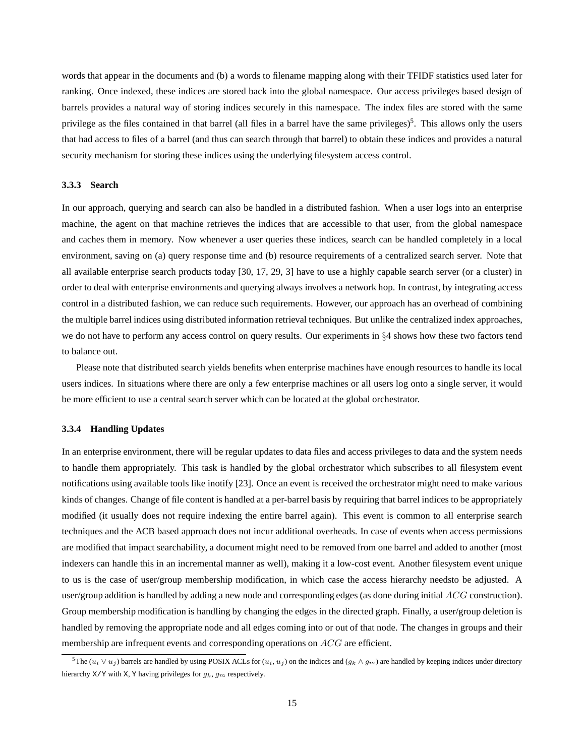words that appear in the documents and (b) a words to filename mapping along with their TFIDF statistics used later for ranking. Once indexed, these indices are stored back into the global namespace. Our access privileges based design of barrels provides a natural way of storing indices securely in this namespace. The index files are stored with the same privilege as the files contained in that barrel (all files in a barrel have the same privileges)<sup>5</sup>. This allows only the users that had access to files of a barrel (and thus can search through that barrel) to obtain these indices and provides a natural security mechanism for storing these indices using the underlying filesystem access control.

#### **3.3.3 Search**

In our approach, querying and search can also be handled in a distributed fashion. When a user logs into an enterprise machine, the agent on that machine retrieves the indices that are accessible to that user, from the global namespace and caches them in memory. Now whenever a user queries these indices, search can be handled completely in a local environment, saving on (a) query response time and (b) resource requirements of a centralized search server. Note that all available enterprise search products today [30, 17, 29, 3] have to use a highly capable search server (or a cluster) in order to deal with enterprise environments and querying always involves a network hop. In contrast, by integrating access control in a distributed fashion, we can reduce such requirements. However, our approach has an overhead of combining the multiple barrel indices using distributed information retrieval techniques. But unlike the centralized index approaches, we do not have to perform any access control on query results. Our experiments in §4 shows how these two factors tend to balance out.

Please note that distributed search yields benefits when enterprise machines have enough resources to handle its local users indices. In situations where there are only a few enterprise machines or all users log onto a single server, it would be more efficient to use a central search server which can be located at the global orchestrator.

#### **3.3.4 Handling Updates**

In an enterprise environment, there will be regular updates to data files and access privileges to data and the system needs to handle them appropriately. This task is handled by the global orchestrator which subscribes to all filesystem event notifications using available tools like inotify [23]. Once an event is received the orchestrator might need to make various kinds of changes. Change of file content is handled at a per-barrel basis by requiring that barrel indices to be appropriately modified (it usually does not require indexing the entire barrel again). This event is common to all enterprise search techniques and the ACB based approach does not incur additional overheads. In case of events when access permissions are modified that impact searchability, a document might need to be removed from one barrel and added to another (most indexers can handle this in an incremental manner as well), making it a low-cost event. Another filesystem event unique to us is the case of user/group membership modification, in which case the access hierarchy needsto be adjusted. A user/group addition is handled by adding a new node and corresponding edges (as done during initial  $ACG$  construction). Group membership modification is handling by changing the edges in the directed graph. Finally, a user/group deletion is handled by removing the appropriate node and all edges coming into or out of that node. The changes in groups and their membership are infrequent events and corresponding operations on ACG are efficient.

<sup>&</sup>lt;sup>5</sup>The ( $u_i \vee u_j$ ) barrels are handled by using POSIX ACLs for ( $u_i, u_j$ ) on the indices and ( $g_k \wedge g_m$ ) are handled by keeping indices under directory hierarchy  $X/Y$  with X, Y having privileges for  $g_k$ ,  $g_m$  respectively.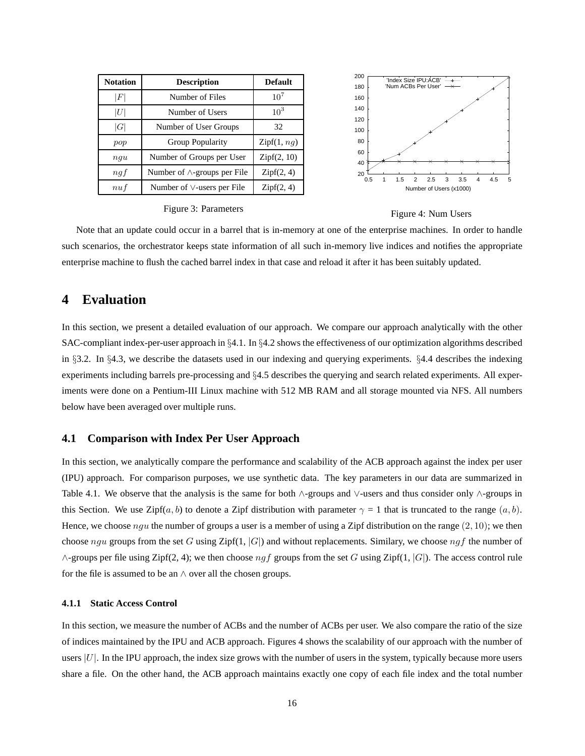| <b>Notation</b> | <b>Description</b>                  | <b>Default</b>       |
|-----------------|-------------------------------------|----------------------|
| F               | Number of Files                     | $10^{7}$             |
| U               | Number of Users                     | $10^{3}$             |
| G               | Number of User Groups               | 32                   |
| pop             | Group Popularity                    | $\text{Zipf}(1, ng)$ |
| nqu             | Number of Groups per User           | Zipf(2, 10)          |
| ngf             | Number of $\wedge$ -groups per File | Zipf(2, 4)           |
| nu f            | Number of $\vee$ -users per File    | Zipf(2, 4)           |



Figure 3: Parameters



Note that an update could occur in a barrel that is in-memory at one of the enterprise machines. In order to handle such scenarios, the orchestrator keeps state information of all such in-memory live indices and notifies the appropriate enterprise machine to flush the cached barrel index in that case and reload it after it has been suitably updated.

# **4 Evaluation**

In this section, we present a detailed evaluation of our approach. We compare our approach analytically with the other SAC-compliant index-per-user approach in §4.1. In §4.2 shows the effectiveness of our optimization algorithms described in §3.2. In §4.3, we describe the datasets used in our indexing and querying experiments. §4.4 describes the indexing experiments including barrels pre-processing and §4.5 describes the querying and search related experiments. All experiments were done on a Pentium-III Linux machine with 512 MB RAM and all storage mounted via NFS. All numbers below have been averaged over multiple runs.

### **4.1 Comparison with Index Per User Approach**

In this section, we analytically compare the performance and scalability of the ACB approach against the index per user (IPU) approach. For comparison purposes, we use synthetic data. The key parameters in our data are summarized in Table 4.1. We observe that the analysis is the same for both ∧-groups and ∨-users and thus consider only ∧-groups in this Section. We use  $\text{Zipf}(a, b)$  to denote a Zipf distribution with parameter  $\gamma = 1$  that is truncated to the range  $(a, b)$ . Hence, we choose ngu the number of groups a user is a member of using a Zipf distribution on the range  $(2, 10)$ ; we then choose  $nqu$  groups from the set G using Zipf(1, |G|) and without replacements. Similary, we choose  $nqf$  the number of  $\wedge$ -groups per file using Zipf(2, 4); we then choose ngf groups from the set G using Zipf(1, |G|). The access control rule for the file is assumed to be an  $\land$  over all the chosen groups.

### **4.1.1 Static Access Control**

In this section, we measure the number of ACBs and the number of ACBs per user. We also compare the ratio of the size of indices maintained by the IPU and ACB approach. Figures 4 shows the scalability of our approach with the number of users  $|U|$ . In the IPU approach, the index size grows with the number of users in the system, typically because more users share a file. On the other hand, the ACB approach maintains exactly one copy of each file index and the total number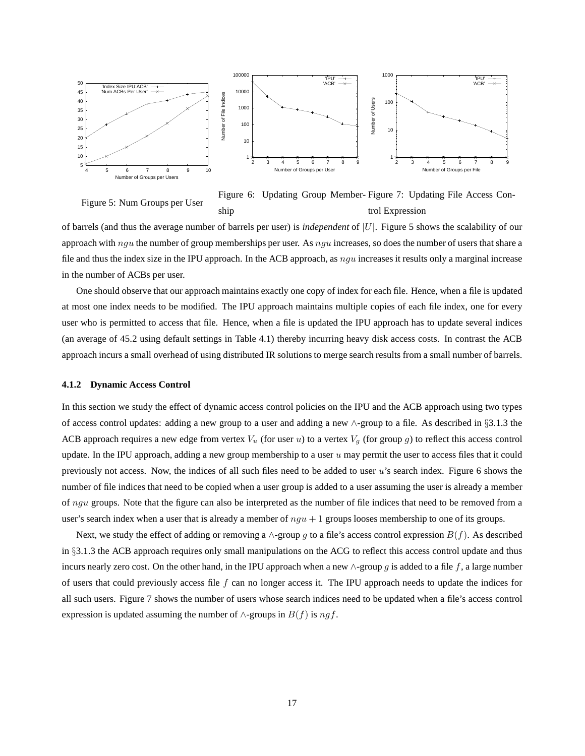

Figure 5: Num Groups per User

Figure 6: Updating Group Member-Figure 7: Updating File Access Conship trol Expression

of barrels (and thus the average number of barrels per user) is *independent* of |U|. Figure 5 shows the scalability of our approach with  $ngu$  the number of group memberships per user. As  $ngu$  increases, so does the number of users that share a file and thus the index size in the IPU approach. In the ACB approach, as  $nqu$  increases it results only a marginal increase in the number of ACBs per user.

One should observe that our approach maintains exactly one copy of index for each file. Hence, when a file is updated at most one index needs to be modified. The IPU approach maintains multiple copies of each file index, one for every user who is permitted to access that file. Hence, when a file is updated the IPU approach has to update several indices (an average of 45.2 using default settings in Table 4.1) thereby incurring heavy disk access costs. In contrast the ACB approach incurs a small overhead of using distributed IR solutions to merge search results from a small number of barrels.

#### **4.1.2 Dynamic Access Control**

In this section we study the effect of dynamic access control policies on the IPU and the ACB approach using two types of access control updates: adding a new group to a user and adding a new ∧-group to a file. As described in §3.1.3 the ACB approach requires a new edge from vertex  $V_u$  (for user u) to a vertex  $V_q$  (for group g) to reflect this access control update. In the IPU approach, adding a new group membership to a user  $u$  may permit the user to access files that it could previously not access. Now, the indices of all such files need to be added to user  $u$ 's search index. Figure 6 shows the number of file indices that need to be copied when a user group is added to a user assuming the user is already a member of ngu groups. Note that the figure can also be interpreted as the number of file indices that need to be removed from a user's search index when a user that is already a member of  $ngu + 1$  groups looses membership to one of its groups.

Next, we study the effect of adding or removing a  $\wedge$ -group g to a file's access control expression  $B(f)$ . As described in §3.1.3 the ACB approach requires only small manipulations on the ACG to reflect this access control update and thus incurs nearly zero cost. On the other hand, in the IPU approach when a new  $\wedge$ -group g is added to a file f, a large number of users that could previously access file  $f$  can no longer access it. The IPU approach needs to update the indices for all such users. Figure 7 shows the number of users whose search indices need to be updated when a file's access control expression is updated assuming the number of  $\wedge$ -groups in  $B(f)$  is ngf.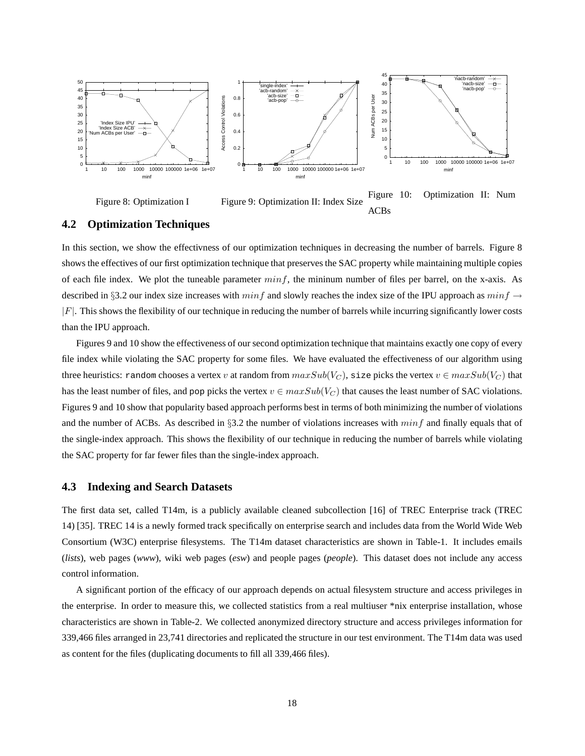

Figure 8: Optimization I

Figure 9: Optimization II: Index Size Figure 10: Optimization II: Num ACBs

# **4.2 Optimization Techniques**

In this section, we show the effectivness of our optimization techniques in decreasing the number of barrels. Figure 8 shows the effectives of our first optimization technique that preserves the SAC property while maintaining multiple copies of each file index. We plot the tuneable parameter  $minf$ , the mininum number of files per barrel, on the x-axis. As described in §3.2 our index size increases with minf and slowly reaches the index size of the IPU approach as  $min f \rightarrow$  $|F|$ . This shows the flexibility of our technique in reducing the number of barrels while incurring significantly lower costs than the IPU approach.

Figures 9 and 10 show the effectiveness of our second optimization technique that maintains exactly one copy of every file index while violating the SAC property for some files. We have evaluated the effectiveness of our algorithm using three heuristics: random chooses a vertex v at random from  $maxSub(V_C)$ , size picks the vertex  $v \in maxSub(V_C)$  that has the least number of files, and pop picks the vertex  $v \in maxSub(V_C)$  that causes the least number of SAC violations. Figures 9 and 10 show that popularity based approach performs best in terms of both minimizing the number of violations and the number of ACBs. As described in  $\S 3.2$  the number of violations increases with  $minf$  and finally equals that of the single-index approach. This shows the flexibility of our technique in reducing the number of barrels while violating the SAC property for far fewer files than the single-index approach.

### **4.3 Indexing and Search Datasets**

The first data set, called T14m, is a publicly available cleaned subcollection [16] of TREC Enterprise track (TREC 14) [35]. TREC 14 is a newly formed track specifically on enterprise search and includes data from the World Wide Web Consortium (W3C) enterprise filesystems. The T14m dataset characteristics are shown in Table-1. It includes emails (*lists*), web pages (*www*), wiki web pages (*esw*) and people pages (*people*). This dataset does not include any access control information.

A significant portion of the efficacy of our approach depends on actual filesystem structure and access privileges in the enterprise. In order to measure this, we collected statistics from a real multiuser \*nix enterprise installation, whose characteristics are shown in Table-2. We collected anonymized directory structure and access privileges information for 339,466 files arranged in 23,741 directories and replicated the structure in our test environment. The T14m data was used as content for the files (duplicating documents to fill all 339,466 files).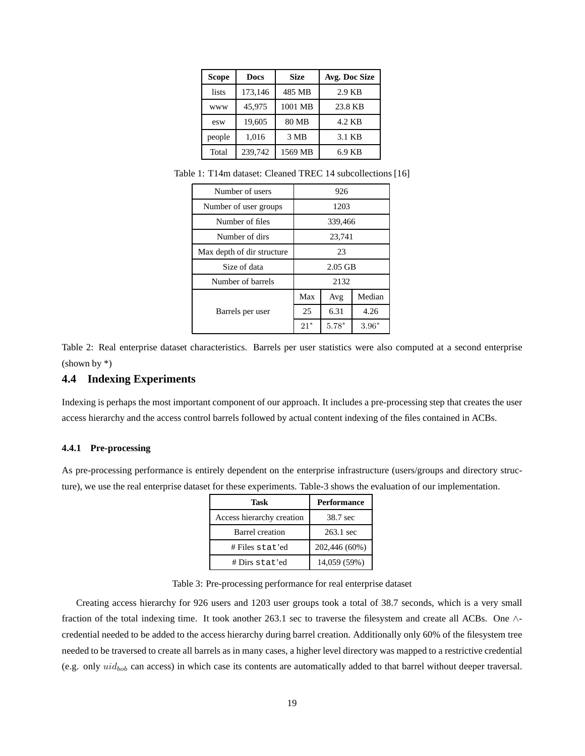| <b>Scope</b> | <b>Docs</b> | <b>Size</b> | Avg. Doc Size |
|--------------|-------------|-------------|---------------|
| lists        | 173,146     | 485 MB      | 2.9 KB        |
| <b>WWW</b>   | 45,975      | 1001 MB     | 23.8 KB       |
| esw          | 19,605      | 80 MB       | 4.2 KB        |
| people       | 1,016       | 3 MB        | 3.1 KB        |
| Total        | 239,742     | 1569 MB     | 6.9 KB        |

Table 1: T14m dataset: Cleaned TREC 14 subcollections [16]

| Number of users            | 926       |         |         |  |
|----------------------------|-----------|---------|---------|--|
| Number of user groups      | 1203      |         |         |  |
| Number of files            | 339,466   |         |         |  |
| Number of dirs             |           | 23,741  |         |  |
| Max depth of dir structure | 23        |         |         |  |
| Size of data               | $2.05$ GB |         |         |  |
| Number of barrels          | 2132      |         |         |  |
|                            | Max       | Avg     | Median  |  |
| Barrels per user           | 25        | 6.31    | 4.26    |  |
|                            | $21*$     | $5.78*$ | $3.96*$ |  |

Table 2: Real enterprise dataset characteristics. Barrels per user statistics were also computed at a second enterprise (shown by \*)

## **4.4 Indexing Experiments**

Indexing is perhaps the most important component of our approach. It includes a pre-processing step that creates the user access hierarchy and the access control barrels followed by actual content indexing of the files contained in ACBs.

### **4.4.1 Pre-processing**

As pre-processing performance is entirely dependent on the enterprise infrastructure (users/groups and directory structure), we use the real enterprise dataset for these experiments. Table-3 shows the evaluation of our implementation.

| Task                      | <b>Performance</b> |
|---------------------------|--------------------|
| Access hierarchy creation | 38.7 sec           |
| Barrel creation           | $263.1$ sec        |
| # Files stat'ed           | 202,446 (60%)      |
| # Dirs stat'ed            | 14,059 (59%)       |

Table 3: Pre-processing performance for real enterprise dataset

Creating access hierarchy for 926 users and 1203 user groups took a total of 38.7 seconds, which is a very small fraction of the total indexing time. It took another 263.1 sec to traverse the filesystem and create all ACBs. One ∧ credential needed to be added to the access hierarchy during barrel creation. Additionally only 60% of the filesystem tree needed to be traversed to create all barrels as in many cases, a higher level directory was mapped to a restrictive credential (e.g. only  $uid_{bob}$  can access) in which case its contents are automatically added to that barrel without deeper traversal.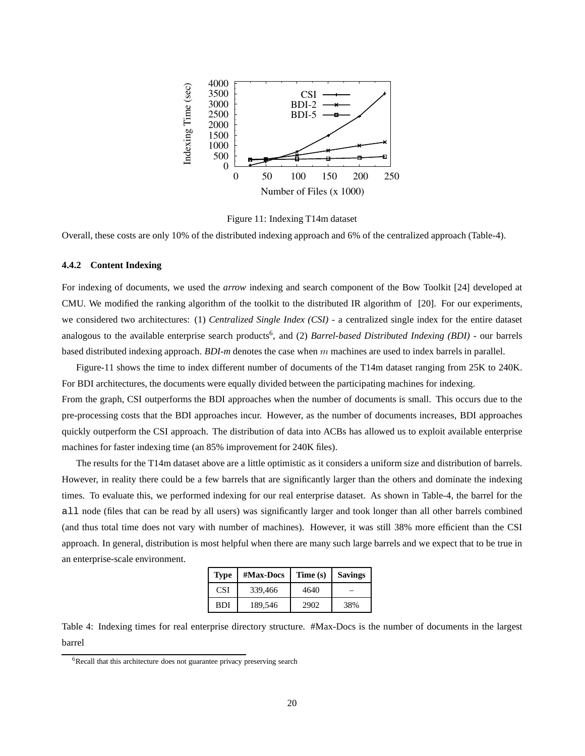

Figure 11: Indexing T14m dataset

Overall, these costs are only 10% of the distributed indexing approach and 6% of the centralized approach (Table-4).

#### **4.4.2 Content Indexing**

For indexing of documents, we used the *arrow* indexing and search component of the Bow Toolkit [24] developed at CMU. We modified the ranking algorithm of the toolkit to the distributed IR algorithm of [20]. For our experiments, we considered two architectures: (1) *Centralized Single Index (CSI)* - a centralized single index for the entire dataset analogous to the available enterprise search products<sup>6</sup>, and (2) *Barrel-based Distributed Indexing (BDI)* - our barrels based distributed indexing approach. *BDI-m* denotes the case when m machines are used to index barrels in parallel.

Figure-11 shows the time to index different number of documents of the T14m dataset ranging from 25K to 240K. For BDI architectures, the documents were equally divided between the participating machines for indexing. From the graph, CSI outperforms the BDI approaches when the number of documents is small. This occurs due to the pre-processing costs that the BDI approaches incur. However, as the number of documents increases, BDI approaches quickly outperform the CSI approach. The distribution of data into ACBs has allowed us to exploit available enterprise machines for faster indexing time (an 85% improvement for 240K files).

The results for the T14m dataset above are a little optimistic as it considers a uniform size and distribution of barrels. However, in reality there could be a few barrels that are significantly larger than the others and dominate the indexing times. To evaluate this, we performed indexing for our real enterprise dataset. As shown in Table-4, the barrel for the all node (files that can be read by all users) was significantly larger and took longer than all other barrels combined (and thus total time does not vary with number of machines). However, it was still 38% more efficient than the CSI approach. In general, distribution is most helpful when there are many such large barrels and we expect that to be true in an enterprise-scale environment.

| <b>Type</b> | #Max-Docs | Time $(s)$ | <b>Savings</b> |
|-------------|-----------|------------|----------------|
| <b>CSI</b>  | 339,466   | 4640       |                |
| <b>BDI</b>  | 189,546   | 2902       | 38%            |

Table 4: Indexing times for real enterprise directory structure. #Max-Docs is the number of documents in the largest barrel

<sup>&</sup>lt;sup>6</sup>Recall that this architecture does not guarantee privacy preserving search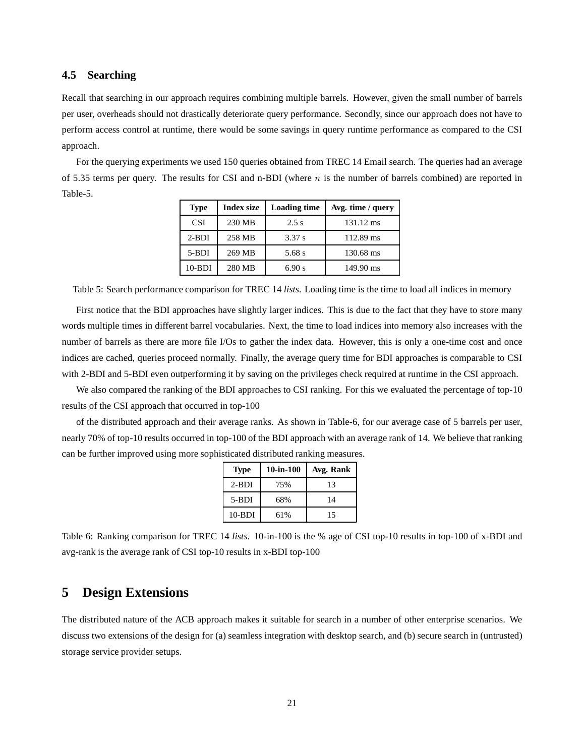## **4.5 Searching**

Recall that searching in our approach requires combining multiple barrels. However, given the small number of barrels per user, overheads should not drastically deteriorate query performance. Secondly, since our approach does not have to perform access control at runtime, there would be some savings in query runtime performance as compared to the CSI approach.

For the querying experiments we used 150 queries obtained from TREC 14 Email search. The queries had an average of 5.35 terms per query. The results for CSI and n-BDI (where  $n$  is the number of barrels combined) are reported in Table-5.

| <b>Type</b> | <b>Index size</b> | <b>Loading time</b> | Avg. time / query |
|-------------|-------------------|---------------------|-------------------|
| <b>CSI</b>  | 230 MB            | 2.5 s               | 131.12 ms         |
| $2-BDI$     | 258 MB            | 3.37 s              | 112.89 ms         |
| $5-BDI$     | 269 MB            | $5.68$ s            | 130.68 ms         |
| $10-BDI$    | 280 MB            | 6.90 s              | 149.90 ms         |

Table 5: Search performance comparison for TREC 14 *lists*. Loading time is the time to load all indices in memory

First notice that the BDI approaches have slightly larger indices. This is due to the fact that they have to store many words multiple times in different barrel vocabularies. Next, the time to load indices into memory also increases with the number of barrels as there are more file I/Os to gather the index data. However, this is only a one-time cost and once indices are cached, queries proceed normally. Finally, the average query time for BDI approaches is comparable to CSI with 2-BDI and 5-BDI even outperforming it by saving on the privileges check required at runtime in the CSI approach.

We also compared the ranking of the BDI approaches to CSI ranking. For this we evaluated the percentage of top-10 results of the CSI approach that occurred in top-100

of the distributed approach and their average ranks. As shown in Table-6, for our average case of 5 barrels per user, nearly 70% of top-10 results occurred in top-100 of the BDI approach with an average rank of 14. We believe that ranking can be further improved using more sophisticated distributed ranking measures.

| <b>Type</b> | $10$ -in- $100$ | Avg. Rank |
|-------------|-----------------|-----------|
| $2-BDI$     | 75%             | 13        |
| 5-BDI       | 68%             | 14        |
| $10 - BDI$  | 61%             | 15        |

Table 6: Ranking comparison for TREC 14 *lists*. 10-in-100 is the % age of CSI top-10 results in top-100 of x-BDI and avg-rank is the average rank of CSI top-10 results in x-BDI top-100

# **5 Design Extensions**

The distributed nature of the ACB approach makes it suitable for search in a number of other enterprise scenarios. We discuss two extensions of the design for (a) seamless integration with desktop search, and (b) secure search in (untrusted) storage service provider setups.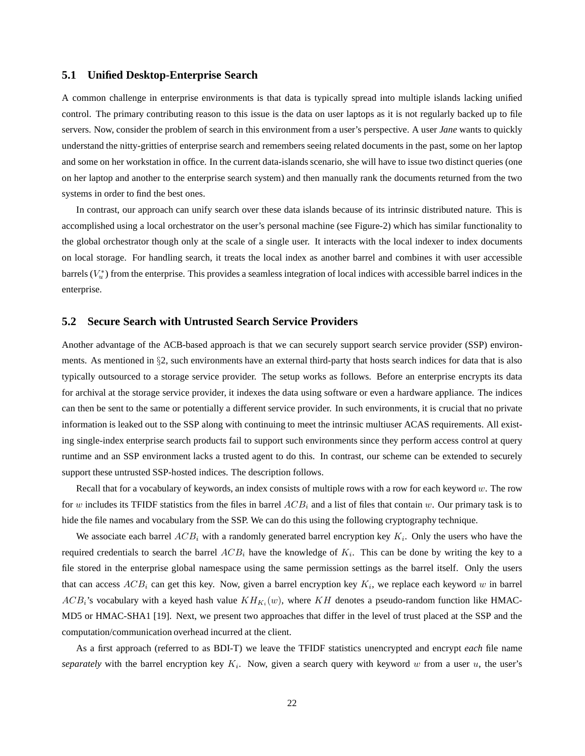### **5.1 Unified Desktop-Enterprise Search**

A common challenge in enterprise environments is that data is typically spread into multiple islands lacking unified control. The primary contributing reason to this issue is the data on user laptops as it is not regularly backed up to file servers. Now, consider the problem of search in this environment from a user's perspective. A user *Jane* wants to quickly understand the nitty-gritties of enterprise search and remembers seeing related documents in the past, some on her laptop and some on her workstation in office. In the current data-islands scenario, she will have to issue two distinct queries (one on her laptop and another to the enterprise search system) and then manually rank the documents returned from the two systems in order to find the best ones.

In contrast, our approach can unify search over these data islands because of its intrinsic distributed nature. This is accomplished using a local orchestrator on the user's personal machine (see Figure-2) which has similar functionality to the global orchestrator though only at the scale of a single user. It interacts with the local indexer to index documents on local storage. For handling search, it treats the local index as another barrel and combines it with user accessible barrels  $(V_u^*)$  from the enterprise. This provides a seamless integration of local indices with accessible barrel indices in the enterprise.

### **5.2 Secure Search with Untrusted Search Service Providers**

Another advantage of the ACB-based approach is that we can securely support search service provider (SSP) environments. As mentioned in §2, such environments have an external third-party that hosts search indices for data that is also typically outsourced to a storage service provider. The setup works as follows. Before an enterprise encrypts its data for archival at the storage service provider, it indexes the data using software or even a hardware appliance. The indices can then be sent to the same or potentially a different service provider. In such environments, it is crucial that no private information is leaked out to the SSP along with continuing to meet the intrinsic multiuser ACAS requirements. All existing single-index enterprise search products fail to support such environments since they perform access control at query runtime and an SSP environment lacks a trusted agent to do this. In contrast, our scheme can be extended to securely support these untrusted SSP-hosted indices. The description follows.

Recall that for a vocabulary of keywords, an index consists of multiple rows with a row for each keyword w. The row for w includes its TFIDF statistics from the files in barrel  $ACB_i$  and a list of files that contain w. Our primary task is to hide the file names and vocabulary from the SSP. We can do this using the following cryptography technique.

We associate each barrel  $ACB_i$  with a randomly generated barrel encryption key  $K_i$ . Only the users who have the required credentials to search the barrel  $ACB_i$  have the knowledge of  $K_i$ . This can be done by writing the key to a file stored in the enterprise global namespace using the same permission settings as the barrel itself. Only the users that can access  $ACB_i$  can get this key. Now, given a barrel encryption key  $K_i$ , we replace each keyword w in barrel  $ACB_i$ 's vocabulary with a keyed hash value  $KH_{K_i}(w)$ , where  $KH$  denotes a pseudo-random function like HMAC-MD5 or HMAC-SHA1 [19]. Next, we present two approaches that differ in the level of trust placed at the SSP and the computation/communication overhead incurred at the client.

As a first approach (referred to as BDI-T) we leave the TFIDF statistics unencrypted and encrypt *each* file name separately with the barrel encryption key  $K_i$ . Now, given a search query with keyword w from a user  $u$ , the user's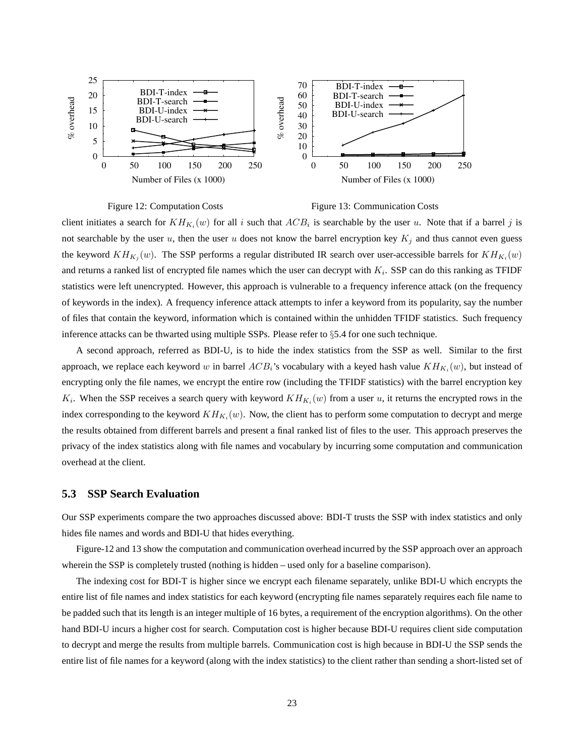



Figure 13: Communication Costs

client initiates a search for  $KH_{K_i}(w)$  for all i such that  $ACB_i$  is searchable by the user u. Note that if a barrel j is not searchable by the user u, then the user u does not know the barrel encryption key  $K_j$  and thus cannot even guess the keyword  $KH_{K_j}(w)$ . The SSP performs a regular distributed IR search over user-accessible barrels for  $KH_{K_i}(w)$ and returns a ranked list of encrypted file names which the user can decrypt with  $K_i$ . SSP can do this ranking as TFIDF statistics were left unencrypted. However, this approach is vulnerable to a frequency inference attack (on the frequency of keywords in the index). A frequency inference attack attempts to infer a keyword from its popularity, say the number of files that contain the keyword, information which is contained within the unhidden TFIDF statistics. Such frequency inference attacks can be thwarted using multiple SSPs. Please refer to §5.4 for one such technique.

A second approach, referred as BDI-U, is to hide the index statistics from the SSP as well. Similar to the first approach, we replace each keyword w in barrel  $ACB_i$ 's vocabulary with a keyed hash value  $KH_{K_i}(w)$ , but instead of encrypting only the file names, we encrypt the entire row (including the TFIDF statistics) with the barrel encryption key  $K_i$ . When the SSP receives a search query with keyword  $KH_{K_i}(w)$  from a user u, it returns the encrypted rows in the index corresponding to the keyword  $KH_{K_i}(w)$ . Now, the client has to perform some computation to decrypt and merge the results obtained from different barrels and present a final ranked list of files to the user. This approach preserves the privacy of the index statistics along with file names and vocabulary by incurring some computation and communication overhead at the client.

### **5.3 SSP Search Evaluation**

Our SSP experiments compare the two approaches discussed above: BDI-T trusts the SSP with index statistics and only hides file names and words and BDI-U that hides everything.

Figure-12 and 13 show the computation and communication overhead incurred by the SSP approach over an approach wherein the SSP is completely trusted (nothing is hidden – used only for a baseline comparison).

The indexing cost for BDI-T is higher since we encrypt each filename separately, unlike BDI-U which encrypts the entire list of file names and index statistics for each keyword (encrypting file names separately requires each file name to be padded such that its length is an integer multiple of 16 bytes, a requirement of the encryption algorithms). On the other hand BDI-U incurs a higher cost for search. Computation cost is higher because BDI-U requires client side computation to decrypt and merge the results from multiple barrels. Communication cost is high because in BDI-U the SSP sends the entire list of file names for a keyword (along with the index statistics) to the client rather than sending a short-listed set of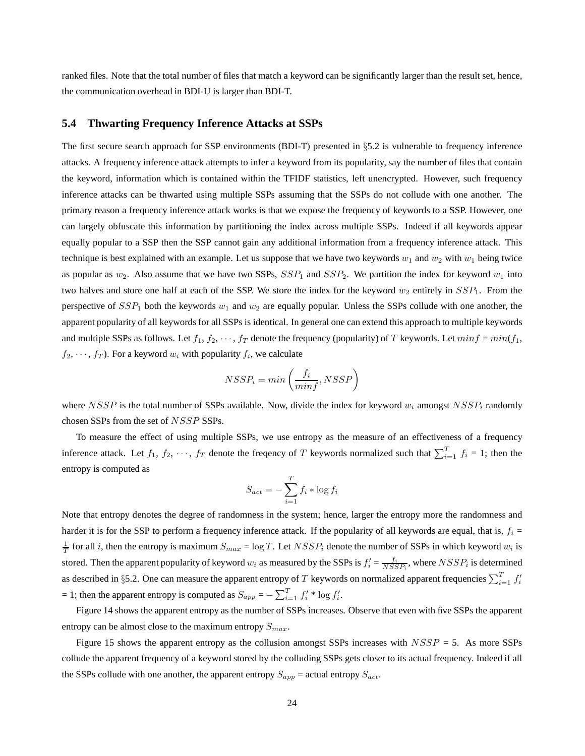ranked files. Note that the total number of files that match a keyword can be significantly larger than the result set, hence, the communication overhead in BDI-U is larger than BDI-T.

### **5.4 Thwarting Frequency Inference Attacks at SSPs**

The first secure search approach for SSP environments (BDI-T) presented in §5.2 is vulnerable to frequency inference attacks. A frequency inference attack attempts to infer a keyword from its popularity, say the number of files that contain the keyword, information which is contained within the TFIDF statistics, left unencrypted. However, such frequency inference attacks can be thwarted using multiple SSPs assuming that the SSPs do not collude with one another. The primary reason a frequency inference attack works is that we expose the frequency of keywords to a SSP. However, one can largely obfuscate this information by partitioning the index across multiple SSPs. Indeed if all keywords appear equally popular to a SSP then the SSP cannot gain any additional information from a frequency inference attack. This technique is best explained with an example. Let us suppose that we have two keywords  $w_1$  and  $w_2$  with  $w_1$  being twice as popular as  $w_2$ . Also assume that we have two SSPs,  $SSP_1$  and  $SSP_2$ . We partition the index for keyword  $w_1$  into two halves and store one half at each of the SSP. We store the index for the keyword  $w_2$  entirely in  $SSP_1$ . From the perspective of  $SSP_1$  both the keywords  $w_1$  and  $w_2$  are equally popular. Unless the SSPs collude with one another, the apparent popularity of all keywords for all SSPs is identical. In general one can extend this approach to multiple keywords and multiple SSPs as follows. Let  $f_1, f_2, \dots, f_T$  denote the frequency (popularity) of T keywords. Let  $min f = min(f_1, f_2, \dots, f_T)$  $f_2, \dots, f_T$ ). For a keyword  $w_i$  with popularity  $f_i$ , we calculate

$$
NSSP_i = min\left(\frac{f_i}{minf}, NSSP\right)
$$

where NSSP is the total number of SSPs available. Now, divide the index for keyword  $w_i$  amongst  $NSSP_i$  randomly chosen SSPs from the set of NSSP SSPs.

To measure the effect of using multiple SSPs, we use entropy as the measure of an effectiveness of a frequency inference attack. Let  $f_1, f_2, \dots, f_T$  denote the freqency of T keywords normalized such that  $\sum_{i=1}^T f_i = 1$ ; then the entropy is computed as

$$
S_{act} = -\sum_{i=1}^{T} f_i * \log f_i
$$

Note that entropy denotes the degree of randomness in the system; hence, larger the entropy more the randomness and harder it is for the SSP to perform a frequency inference attack. If the popularity of all keywords are equal, that is,  $f_i =$  $\frac{1}{T}$  for all *i*, then the entropy is maximum  $S_{max} = \log T$ . Let  $NSSP_i$  denote the number of SSPs in which keyword  $w_i$  is stored. Then the apparent popularity of keyword  $w_i$  as measured by the SSPs is  $f'_i = \frac{f_i}{NSSP_i}$ , where  $NSSP_i$  is determined as described in §5.2. One can measure the apparent entropy of T keywords on normalized apparent frequencies  $\sum_{i=1}^{T} f'_i$ = 1; then the apparent entropy is computed as  $S_{app} = -\sum_{i=1}^{T} f'_i * \log f'_i$ .

Figure 14 shows the apparent entropy as the number of SSPs increases. Observe that even with five SSPs the apparent entropy can be almost close to the maximum entropy  $S_{max}$ .

Figure 15 shows the apparent entropy as the collusion amongst SSPs increases with  $NSSP = 5$ . As more SSPs collude the apparent frequency of a keyword stored by the colluding SSPs gets closer to its actual frequency. Indeed if all the SSPs collude with one another, the apparent entropy  $S_{app}$  = actual entropy  $S_{act}$ .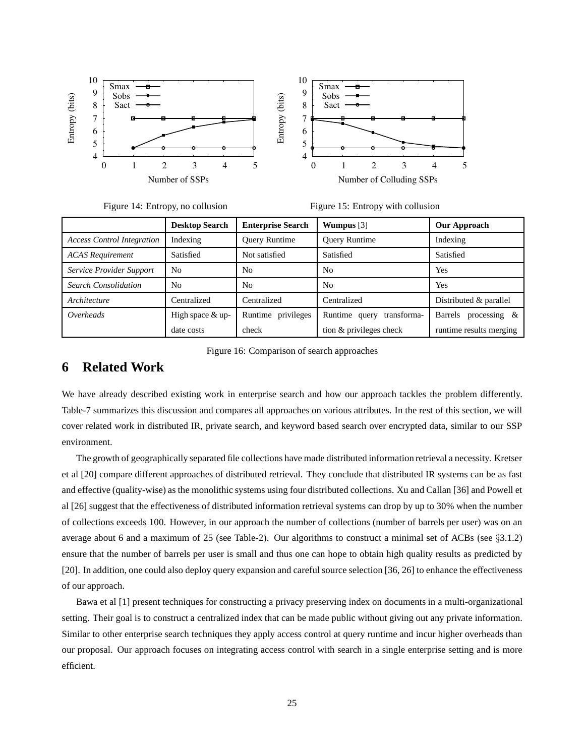

| Figure 14: Entropy, no collusion |  |  |  |  |  |
|----------------------------------|--|--|--|--|--|
|----------------------------------|--|--|--|--|--|

Figure 15: Entropy with collusion

|                                   | <b>Desktop Search</b> | <b>Enterprise Search</b> | <b>Wumpus</b> $[3]$          | <b>Our Approach</b>               |
|-----------------------------------|-----------------------|--------------------------|------------------------------|-----------------------------------|
| <b>Access Control Integration</b> | Indexing              | <b>Query Runtime</b>     | <b>Query Runtime</b>         | Indexing                          |
| <b>ACAS</b> Requirement           | Satisfied             | Not satisfied            | Satisfied                    | Satisfied                         |
| Service Provider Support          | N <sub>0</sub>        | N <sub>0</sub>           | N <sub>0</sub>               | Yes                               |
| <b>Search Consolidation</b>       | N <sub>0</sub>        | N <sub>0</sub>           | No                           | Yes                               |
| Architecture                      | Centralized           | Centralized              | Centralized                  | Distributed & parallel            |
| Overheads                         | High space $&$ up-    | Runtime privileges       | Runtime query<br>transforma- | processing $\&$<br><b>Barrels</b> |
|                                   | date costs            | check                    | tion & privileges check      | runtime results merging           |

Figure 16: Comparison of search approaches

# **6 Related Work**

We have already described existing work in enterprise search and how our approach tackles the problem differently. Table-7 summarizes this discussion and compares all approaches on various attributes. In the rest of this section, we will cover related work in distributed IR, private search, and keyword based search over encrypted data, similar to our SSP environment.

The growth of geographically separated file collections have made distributed information retrieval a necessity. Kretser et al [20] compare different approaches of distributed retrieval. They conclude that distributed IR systems can be as fast and effective (quality-wise) as the monolithic systems using four distributed collections. Xu and Callan [36] and Powell et al [26] suggest that the effectiveness of distributed information retrieval systems can drop by up to 30% when the number of collections exceeds 100. However, in our approach the number of collections (number of barrels per user) was on an average about 6 and a maximum of 25 (see Table-2). Our algorithms to construct a minimal set of ACBs (see §3.1.2) ensure that the number of barrels per user is small and thus one can hope to obtain high quality results as predicted by [20]. In addition, one could also deploy query expansion and careful source selection [36, 26] to enhance the effectiveness of our approach.

Bawa et al [1] present techniques for constructing a privacy preserving index on documents in a multi-organizational setting. Their goal is to construct a centralized index that can be made public without giving out any private information. Similar to other enterprise search techniques they apply access control at query runtime and incur higher overheads than our proposal. Our approach focuses on integrating access control with search in a single enterprise setting and is more efficient.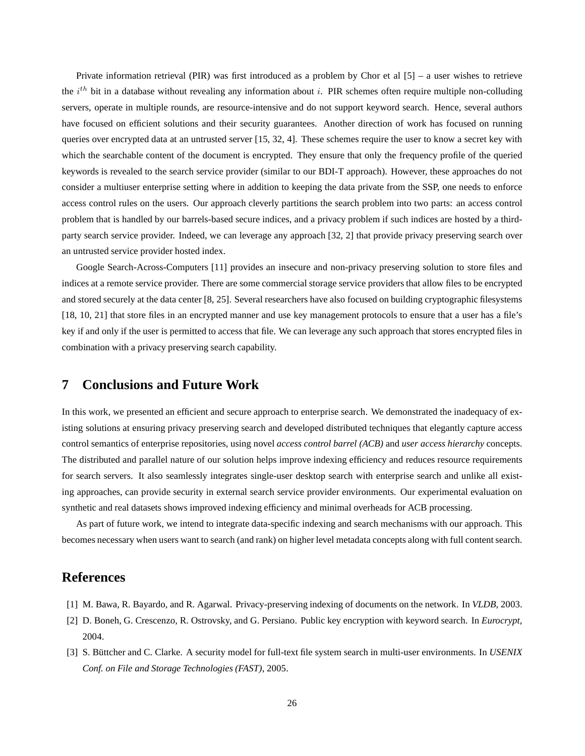Private information retrieval (PIR) was first introduced as a problem by Chor et al [5] – a user wishes to retrieve the  $i^{th}$  bit in a database without revealing any information about i. PIR schemes often require multiple non-colluding servers, operate in multiple rounds, are resource-intensive and do not support keyword search. Hence, several authors have focused on efficient solutions and their security guarantees. Another direction of work has focused on running queries over encrypted data at an untrusted server [15, 32, 4]. These schemes require the user to know a secret key with which the searchable content of the document is encrypted. They ensure that only the frequency profile of the queried keywords is revealed to the search service provider (similar to our BDI-T approach). However, these approaches do not consider a multiuser enterprise setting where in addition to keeping the data private from the SSP, one needs to enforce access control rules on the users. Our approach cleverly partitions the search problem into two parts: an access control problem that is handled by our barrels-based secure indices, and a privacy problem if such indices are hosted by a thirdparty search service provider. Indeed, we can leverage any approach [32, 2] that provide privacy preserving search over an untrusted service provider hosted index.

Google Search-Across-Computers [11] provides an insecure and non-privacy preserving solution to store files and indices at a remote service provider. There are some commercial storage service providers that allow files to be encrypted and stored securely at the data center [8, 25]. Several researchers have also focused on building cryptographic filesystems [18, 10, 21] that store files in an encrypted manner and use key management protocols to ensure that a user has a file's key if and only if the user is permitted to access that file. We can leverage any such approach that stores encrypted files in combination with a privacy preserving search capability.

# **7 Conclusions and Future Work**

In this work, we presented an efficient and secure approach to enterprise search. We demonstrated the inadequacy of existing solutions at ensuring privacy preserving search and developed distributed techniques that elegantly capture access control semantics of enterprise repositories, using novel *access control barrel (ACB)* and *user access hierarchy* concepts. The distributed and parallel nature of our solution helps improve indexing efficiency and reduces resource requirements for search servers. It also seamlessly integrates single-user desktop search with enterprise search and unlike all existing approaches, can provide security in external search service provider environments. Our experimental evaluation on synthetic and real datasets shows improved indexing efficiency and minimal overheads for ACB processing.

As part of future work, we intend to integrate data-specific indexing and search mechanisms with our approach. This becomes necessary when users want to search (and rank) on higher level metadata concepts along with full content search.

# **References**

- [1] M. Bawa, R. Bayardo, and R. Agarwal. Privacy-preserving indexing of documents on the network. In *VLDB*, 2003.
- [2] D. Boneh, G. Crescenzo, R. Ostrovsky, and G. Persiano. Public key encryption with keyword search. In *Eurocrypt*, 2004.
- [3] S. Büttcher and C. Clarke. A security model for full-text file system search in multi-user environments. In *USENIX Conf. on File and Storage Technologies (FAST)*, 2005.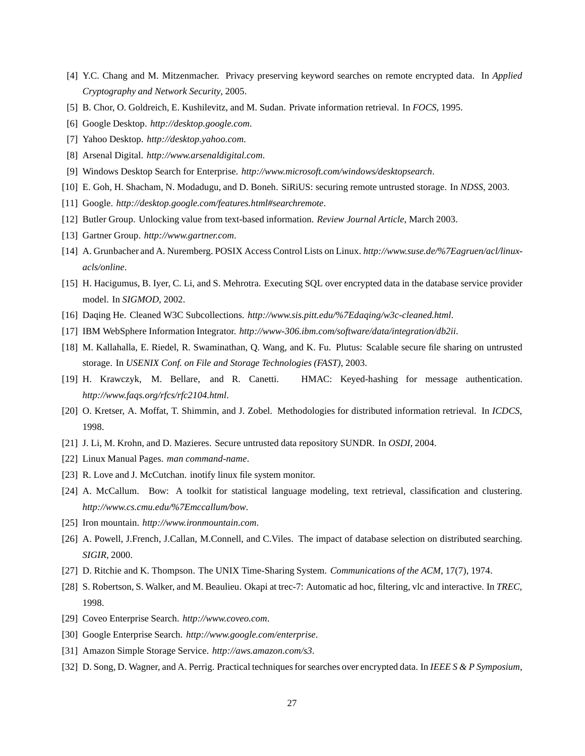- [4] Y.C. Chang and M. Mitzenmacher. Privacy preserving keyword searches on remote encrypted data. In *Applied Cryptography and Network Security*, 2005.
- [5] B. Chor, O. Goldreich, E. Kushilevitz, and M. Sudan. Private information retrieval. In *FOCS*, 1995.
- [6] Google Desktop. *http://desktop.google.com*.
- [7] Yahoo Desktop. *http://desktop.yahoo.com*.
- [8] Arsenal Digital. *http://www.arsenaldigital.com*.
- [9] Windows Desktop Search for Enterprise. *http://www.microsoft.com/windows/desktopsearch*.
- [10] E. Goh, H. Shacham, N. Modadugu, and D. Boneh. SiRiUS: securing remote untrusted storage. In *NDSS*, 2003.
- [11] Google. *http://desktop.google.com/features.html#searchremote*.
- [12] Butler Group. Unlocking value from text-based information. *Review Journal Article*, March 2003.
- [13] Gartner Group. *http://www.gartner.com*.
- [14] A. Grunbacher and A. Nuremberg. POSIX Access Control Lists on Linux. *http://www.suse.de/%7Eagruen/acl/linuxacls/online*.
- [15] H. Hacigumus, B. Iyer, C. Li, and S. Mehrotra. Executing SQL over encrypted data in the database service provider model. In *SIGMOD*, 2002.
- [16] Daqing He. Cleaned W3C Subcollections. *http://www.sis.pitt.edu/%7Edaqing/w3c-cleaned.html*.
- [17] IBM WebSphere Information Integrator. *http://www-306.ibm.com/software/data/integration/db2ii*.
- [18] M. Kallahalla, E. Riedel, R. Swaminathan, Q. Wang, and K. Fu. Plutus: Scalable secure file sharing on untrusted storage. In *USENIX Conf. on File and Storage Technologies (FAST)*, 2003.
- [19] H. Krawczyk, M. Bellare, and R. Canetti. HMAC: Keyed-hashing for message authentication. *http://www.faqs.org/rfcs/rfc2104.html*.
- [20] O. Kretser, A. Moffat, T. Shimmin, and J. Zobel. Methodologies for distributed information retrieval. In *ICDCS*, 1998.
- [21] J. Li, M. Krohn, and D. Mazieres. Secure untrusted data repository SUNDR. In *OSDI*, 2004.
- [22] Linux Manual Pages. *man command-name*.
- [23] R. Love and J. McCutchan. inotify linux file system monitor.
- [24] A. McCallum. Bow: A toolkit for statistical language modeling, text retrieval, classification and clustering. *http://www.cs.cmu.edu/%7Emccallum/bow*.
- [25] Iron mountain. *http://www.ironmountain.com*.
- [26] A. Powell, J.French, J.Callan, M.Connell, and C.Viles. The impact of database selection on distributed searching. *SIGIR*, 2000.
- [27] D. Ritchie and K. Thompson. The UNIX Time-Sharing System. *Communications of the ACM*, 17(7), 1974.
- [28] S. Robertson, S. Walker, and M. Beaulieu. Okapi at trec-7: Automatic ad hoc, filtering, vlc and interactive. In *TREC*, 1998.
- [29] Coveo Enterprise Search. *http://www.coveo.com*.
- [30] Google Enterprise Search. *http://www.google.com/enterprise*.
- [31] Amazon Simple Storage Service. *http://aws.amazon.com/s3*.
- [32] D. Song, D. Wagner, and A. Perrig. Practical techniquesfor searches over encrypted data. In *IEEE S & P Symposium*,